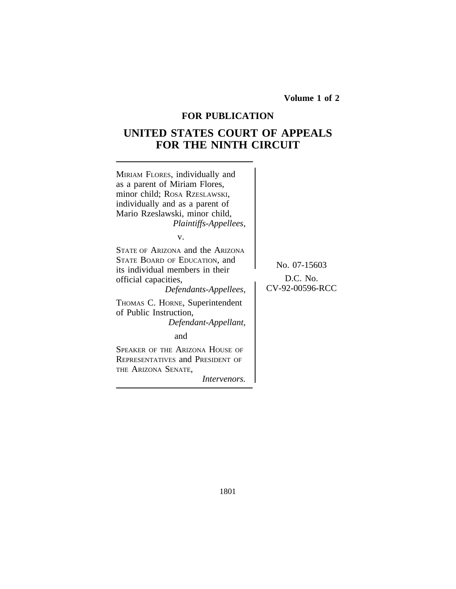**Volume 1 of 2**

# **FOR PUBLICATION**

# **UNITED STATES COURT OF APPEALS FOR THE NINTH CIRCUIT**

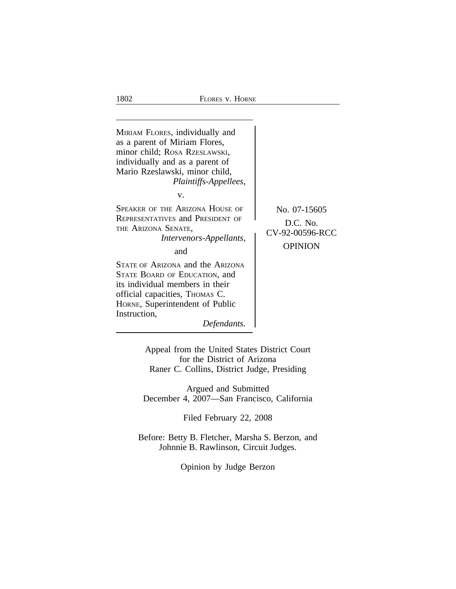

Appeal from the United States District Court for the District of Arizona Raner C. Collins, District Judge, Presiding

Argued and Submitted December 4, 2007—San Francisco, California

Filed February 22, 2008

Before: Betty B. Fletcher, Marsha S. Berzon, and Johnnie B. Rawlinson, Circuit Judges.

Opinion by Judge Berzon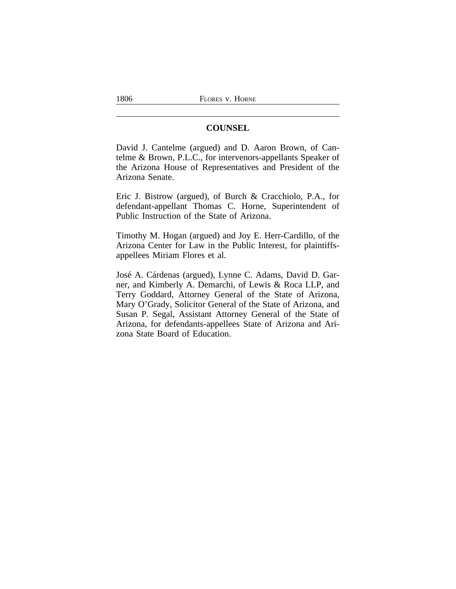# **COUNSEL**

David J. Cantelme (argued) and D. Aaron Brown, of Cantelme & Brown, P.L.C., for intervenors-appellants Speaker of the Arizona House of Representatives and President of the Arizona Senate.

Eric J. Bistrow (argued), of Burch & Cracchiolo, P.A., for defendant-appellant Thomas C. Horne, Superintendent of Public Instruction of the State of Arizona.

Timothy M. Hogan (argued) and Joy E. Herr-Cardillo, of the Arizona Center for Law in the Public Interest, for plaintiffsappellees Miriam Flores et al.

José A. Cárdenas (argued), Lynne C. Adams, David D. Garner, and Kimberly A. Demarchi, of Lewis & Roca LLP, and Terry Goddard, Attorney General of the State of Arizona, Mary O'Grady, Solicitor General of the State of Arizona, and Susan P. Segal, Assistant Attorney General of the State of Arizona, for defendants-appellees State of Arizona and Arizona State Board of Education.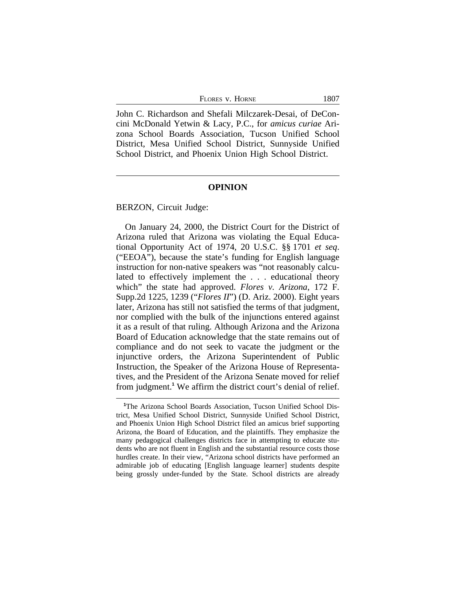John C. Richardson and Shefali Milczarek-Desai, of DeConcini McDonald Yetwin & Lacy, P.C., for *amicus curiae* Arizona School Boards Association, Tucson Unified School District, Mesa Unified School District, Sunnyside Unified School District, and Phoenix Union High School District.

#### **OPINION**

#### BERZON, Circuit Judge:

On January 24, 2000, the District Court for the District of Arizona ruled that Arizona was violating the Equal Educational Opportunity Act of 1974, 20 U.S.C. §§ 1701 *et seq*. ("EEOA"), because the state's funding for English language instruction for non-native speakers was "not reasonably calculated to effectively implement the . . . educational theory which" the state had approved. *Flores v. Arizona*, 172 F. Supp.2d 1225, 1239 ("*Flores II*") (D. Ariz. 2000). Eight years later, Arizona has still not satisfied the terms of that judgment, nor complied with the bulk of the injunctions entered against it as a result of that ruling. Although Arizona and the Arizona Board of Education acknowledge that the state remains out of compliance and do not seek to vacate the judgment or the injunctive orders, the Arizona Superintendent of Public Instruction, the Speaker of the Arizona House of Representatives, and the President of the Arizona Senate moved for relief from judgment.**<sup>1</sup>** We affirm the district court's denial of relief.

<sup>&</sup>lt;sup>1</sup>The Arizona School Boards Association, Tucson Unified School District, Mesa Unified School District, Sunnyside Unified School District, and Phoenix Union High School District filed an amicus brief supporting Arizona, the Board of Education, and the plaintiffs. They emphasize the many pedagogical challenges districts face in attempting to educate students who are not fluent in English and the substantial resource costs those hurdles create. In their view, "Arizona school districts have performed an admirable job of educating [English language learner] students despite being grossly under-funded by the State. School districts are already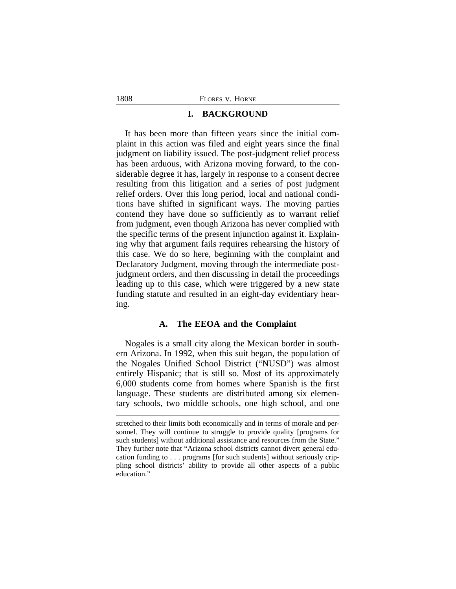#### **I. BACKGROUND**

It has been more than fifteen years since the initial complaint in this action was filed and eight years since the final judgment on liability issued. The post-judgment relief process has been arduous, with Arizona moving forward, to the considerable degree it has, largely in response to a consent decree resulting from this litigation and a series of post judgment relief orders. Over this long period, local and national conditions have shifted in significant ways. The moving parties contend they have done so sufficiently as to warrant relief from judgment, even though Arizona has never complied with the specific terms of the present injunction against it. Explaining why that argument fails requires rehearsing the history of this case. We do so here, beginning with the complaint and Declaratory Judgment, moving through the intermediate postjudgment orders, and then discussing in detail the proceedings leading up to this case, which were triggered by a new state funding statute and resulted in an eight-day evidentiary hearing.

## **A. The EEOA and the Complaint**

Nogales is a small city along the Mexican border in southern Arizona. In 1992, when this suit began, the population of the Nogales Unified School District ("NUSD") was almost entirely Hispanic; that is still so. Most of its approximately 6,000 students come from homes where Spanish is the first language. These students are distributed among six elementary schools, two middle schools, one high school, and one

stretched to their limits both economically and in terms of morale and personnel. They will continue to struggle to provide quality [programs for such students] without additional assistance and resources from the State." They further note that "Arizona school districts cannot divert general education funding to . . . programs [for such students] without seriously crippling school districts' ability to provide all other aspects of a public education."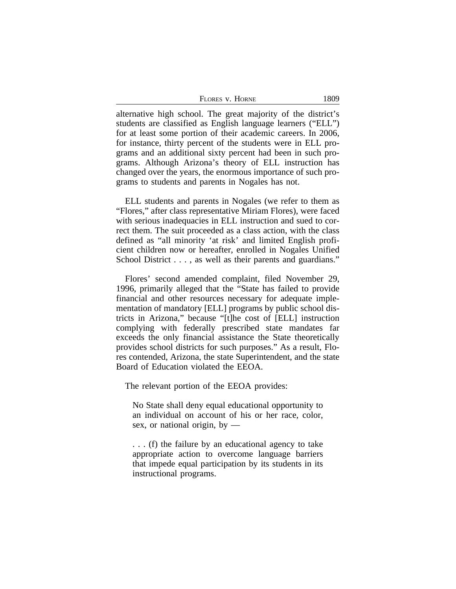| FLORES V. HORNE | 1809 |
|-----------------|------|
|-----------------|------|

alternative high school. The great majority of the district's students are classified as English language learners ("ELL") for at least some portion of their academic careers. In 2006, for instance, thirty percent of the students were in ELL programs and an additional sixty percent had been in such programs. Although Arizona's theory of ELL instruction has changed over the years, the enormous importance of such programs to students and parents in Nogales has not.

ELL students and parents in Nogales (we refer to them as "Flores," after class representative Miriam Flores), were faced with serious inadequacies in ELL instruction and sued to correct them. The suit proceeded as a class action, with the class defined as "all minority 'at risk' and limited English proficient children now or hereafter, enrolled in Nogales Unified School District . . . , as well as their parents and guardians."

Flores' second amended complaint, filed November 29, 1996, primarily alleged that the "State has failed to provide financial and other resources necessary for adequate implementation of mandatory [ELL] programs by public school districts in Arizona," because "[t]he cost of [ELL] instruction complying with federally prescribed state mandates far exceeds the only financial assistance the State theoretically provides school districts for such purposes." As a result, Flores contended, Arizona, the state Superintendent, and the state Board of Education violated the EEOA.

The relevant portion of the EEOA provides:

No State shall deny equal educational opportunity to an individual on account of his or her race, color, sex, or national origin, by —

. . . (f) the failure by an educational agency to take appropriate action to overcome language barriers that impede equal participation by its students in its instructional programs.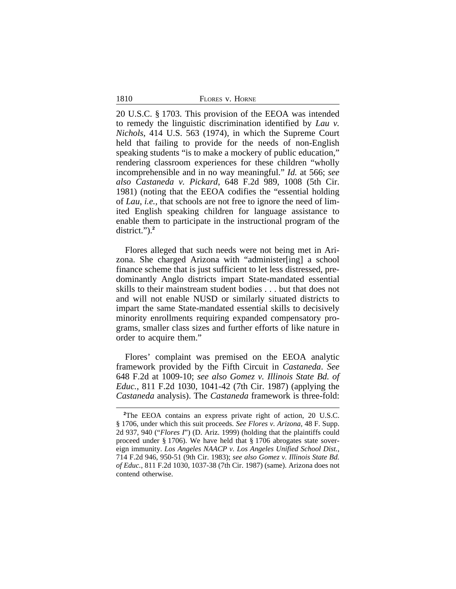1810

20 U.S.C. § 1703. This provision of the EEOA was intended to remedy the linguistic discrimination identified by *Lau v. Nichols*, 414 U.S. 563 (1974), in which the Supreme Court held that failing to provide for the needs of non-English speaking students "is to make a mockery of public education," rendering classroom experiences for these children "wholly incomprehensible and in no way meaningful." *Id.* at 566; *see also Castaneda v. Pickard*, 648 F.2d 989, 1008 (5th Cir. 1981) (noting that the EEOA codifies the "essential holding of *Lau*, *i.e.,* that schools are not free to ignore the need of limited English speaking children for language assistance to enable them to participate in the instructional program of the district.").<sup>2</sup>

Flores alleged that such needs were not being met in Arizona. She charged Arizona with "administer[ing] a school finance scheme that is just sufficient to let less distressed, predominantly Anglo districts impart State-mandated essential skills to their mainstream student bodies . . . but that does not and will not enable NUSD or similarly situated districts to impart the same State-mandated essential skills to decisively minority enrollments requiring expanded compensatory programs, smaller class sizes and further efforts of like nature in order to acquire them."

Flores' complaint was premised on the EEOA analytic framework provided by the Fifth Circuit in *Castaneda*. *See* 648 F.2d at 1009-10; *see also Gomez v. Illinois State Bd. of Educ.*, 811 F.2d 1030, 1041-42 (7th Cir. 1987) (applying the *Castaneda* analysis). The *Castaneda* framework is three-fold:

**<sup>2</sup>**The EEOA contains an express private right of action, 20 U.S.C. § 1706, under which this suit proceeds. *See Flores v. Arizona*, 48 F. Supp. 2d 937, 940 ("*Flores I*") (D. Ariz. 1999) (holding that the plaintiffs could proceed under § 1706). We have held that § 1706 abrogates state sovereign immunity. *Los Angeles NAACP v. Los Angeles Unified School Dist.*, 714 F.2d 946, 950-51 (9th Cir. 1983); *see also Gomez v. Illinois State Bd. of Educ.*, 811 F.2d 1030, 1037-38 (7th Cir. 1987) (same). Arizona does not contend otherwise.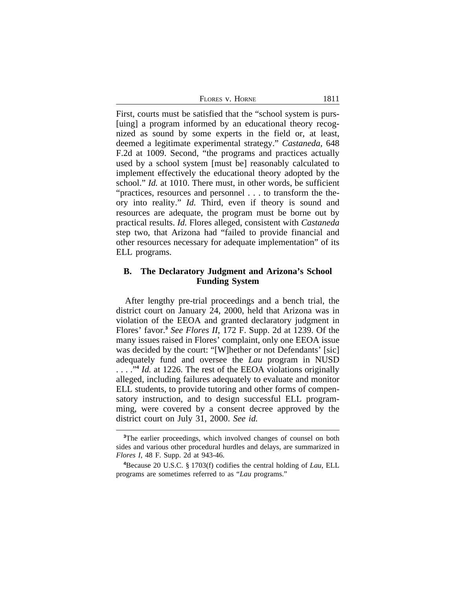| Flores v. Horne | 1811 |
|-----------------|------|
|-----------------|------|

First, courts must be satisfied that the "school system is purs- [uing] a program informed by an educational theory recognized as sound by some experts in the field or, at least, deemed a legitimate experimental strategy." *Castaneda,* 648 F.2d at 1009. Second, "the programs and practices actually used by a school system [must be] reasonably calculated to implement effectively the educational theory adopted by the school." *Id.* at 1010. There must, in other words, be sufficient "practices, resources and personnel . . . to transform the theory into reality." *Id.* Third, even if theory is sound and resources are adequate, the program must be borne out by practical results. *Id.* Flores alleged, consistent with *Castaneda* step two, that Arizona had "failed to provide financial and other resources necessary for adequate implementation" of its ELL programs.

# **B. The Declaratory Judgment and Arizona's School Funding System**

After lengthy pre-trial proceedings and a bench trial, the district court on January 24, 2000, held that Arizona was in violation of the EEOA and granted declaratory judgment in Flores' favor.**<sup>3</sup>** *See Flores II*, 172 F. Supp. 2d at 1239. Of the many issues raised in Flores' complaint, only one EEOA issue was decided by the court: "[W]hether or not Defendants' [sic] adequately fund and oversee the *Lau* program in NUSD ...."<sup>4</sup> *Id.* at 1226. The rest of the EEOA violations originally alleged, including failures adequately to evaluate and monitor ELL students, to provide tutoring and other forms of compensatory instruction, and to design successful ELL programming, were covered by a consent decree approved by the district court on July 31, 2000. *See id.*

<sup>&</sup>lt;sup>3</sup>The earlier proceedings, which involved changes of counsel on both sides and various other procedural hurdles and delays, are summarized in *Flores I*, 48 F. Supp. 2d at 943-46.

**<sup>4</sup>**Because 20 U.S.C. § 1703(f) codifies the central holding of *Lau*, ELL programs are sometimes referred to as "*Lau* programs."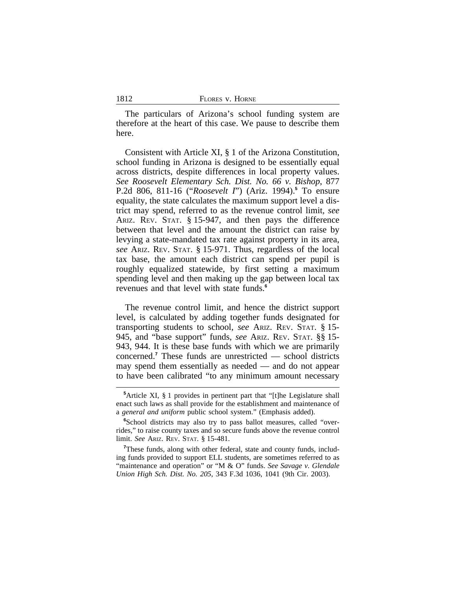| 1812 | FLORES V. HORNE |
|------|-----------------|
|      |                 |

The particulars of Arizona's school funding system are therefore at the heart of this case. We pause to describe them here.

Consistent with Article XI, § 1 of the Arizona Constitution, school funding in Arizona is designed to be essentially equal across districts, despite differences in local property values. *See Roosevelt Elementary Sch. Dist. No. 66 v. Bishop*, 877 P.2d 806, 811-16 ("*Roosevelt I*") (Ariz. 1994).**<sup>5</sup>** To ensure equality, the state calculates the maximum support level a district may spend, referred to as the revenue control limit, *see* ARIZ. REV. STAT. § 15-947, and then pays the difference between that level and the amount the district can raise by levying a state-mandated tax rate against property in its area, *see* ARIZ. REV. STAT. § 15-971. Thus, regardless of the local tax base, the amount each district can spend per pupil is roughly equalized statewide, by first setting a maximum spending level and then making up the gap between local tax revenues and that level with state funds.**<sup>6</sup>**

The revenue control limit, and hence the district support level, is calculated by adding together funds designated for transporting students to school, *see* ARIZ. REV. STAT. § 15- 945, and "base support" funds, *see* ARIZ. REV. STAT. §§ 15- 943, 944. It is these base funds with which we are primarily concerned.**<sup>7</sup>** These funds are unrestricted — school districts may spend them essentially as needed — and do not appear to have been calibrated "to any minimum amount necessary

**<sup>5</sup>**Article XI, § 1 provides in pertinent part that "[t]he Legislature shall enact such laws as shall provide for the establishment and maintenance of a *general and uniform* public school system." (Emphasis added).

<sup>&</sup>lt;sup>6</sup>School districts may also try to pass ballot measures, called "overrides," to raise county taxes and so secure funds above the revenue control limit. *See* ARIZ. REV. STAT. § 15-481.

<sup>&</sup>lt;sup>7</sup>These funds, along with other federal, state and county funds, including funds provided to support ELL students, are sometimes referred to as "maintenance and operation" or "M & O" funds. *See Savage v. Glendale Union High Sch. Dist. No. 205*, 343 F.3d 1036, 1041 (9th Cir. 2003).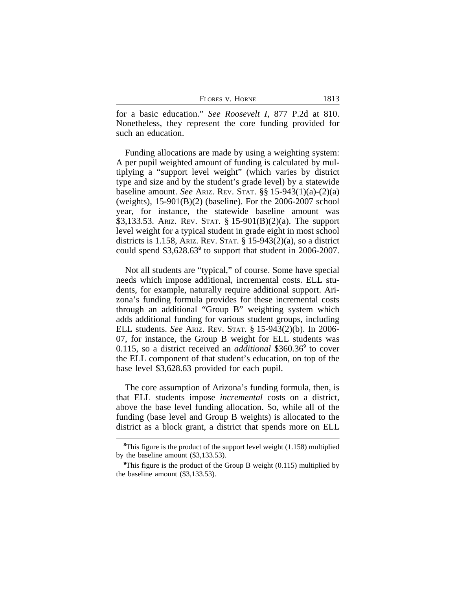| FLORES V. HORNE | 1813 |
|-----------------|------|
|-----------------|------|

for a basic education." *See Roosevelt I*, 877 P.2d at 810. Nonetheless, they represent the core funding provided for such an education.

Funding allocations are made by using a weighting system: A per pupil weighted amount of funding is calculated by multiplying a "support level weight" (which varies by district type and size and by the student's grade level) by a statewide baseline amount. *See* ARIZ. REV. STAT. §§ 15-943(1)(a)-(2)(a) (weights), 15-901(B)(2) (baseline). For the 2006-2007 school year, for instance, the statewide baseline amount was \$3,133.53. ARIZ. REV. STAT. § 15-901(B)(2)(a). The support level weight for a typical student in grade eight in most school districts is 1.158, ARIZ. REV. STAT. § 15-943(2)(a), so a district could spend \$3,628.63**<sup>8</sup>** to support that student in 2006-2007.

Not all students are "typical," of course. Some have special needs which impose additional, incremental costs. ELL students, for example, naturally require additional support. Arizona's funding formula provides for these incremental costs through an additional "Group B" weighting system which adds additional funding for various student groups, including ELL students. *See* ARIZ. REV. STAT. § 15-943(2)(b). In 2006- 07, for instance, the Group B weight for ELL students was 0.115, so a district received an *additional* \$360.36**<sup>9</sup>** to cover the ELL component of that student's education, on top of the base level \$3,628.63 provided for each pupil.

The core assumption of Arizona's funding formula, then, is that ELL students impose *incremental* costs on a district, above the base level funding allocation. So, while all of the funding (base level and Group B weights) is allocated to the district as a block grant, a district that spends more on ELL

**<sup>8</sup>**This figure is the product of the support level weight (1.158) multiplied by the baseline amount (\$3,133.53).

<sup>&</sup>lt;sup>9</sup>This figure is the product of the Group B weight (0.115) multiplied by the baseline amount (\$3,133.53).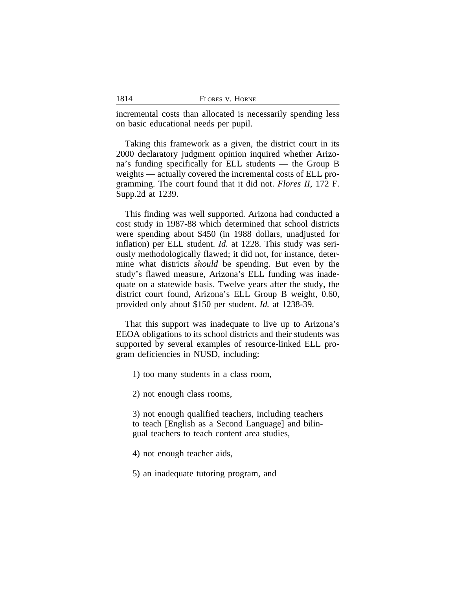| 1814 | FLORES V. HORNE |  |
|------|-----------------|--|
|      |                 |  |

incremental costs than allocated is necessarily spending less on basic educational needs per pupil.

Taking this framework as a given, the district court in its 2000 declaratory judgment opinion inquired whether Arizona's funding specifically for ELL students — the Group B weights — actually covered the incremental costs of ELL programming. The court found that it did not. *Flores II*, 172 F. Supp.2d at 1239.

This finding was well supported. Arizona had conducted a cost study in 1987-88 which determined that school districts were spending about \$450 (in 1988 dollars, unadjusted for inflation) per ELL student. *Id.* at 1228. This study was seriously methodologically flawed; it did not, for instance, determine what districts *should* be spending. But even by the study's flawed measure, Arizona's ELL funding was inadequate on a statewide basis. Twelve years after the study, the district court found, Arizona's ELL Group B weight, 0.60, provided only about \$150 per student. *Id.* at 1238-39.

That this support was inadequate to live up to Arizona's EEOA obligations to its school districts and their students was supported by several examples of resource-linked ELL program deficiencies in NUSD, including:

1) too many students in a class room,

2) not enough class rooms,

3) not enough qualified teachers, including teachers to teach [English as a Second Language] and bilingual teachers to teach content area studies,

4) not enough teacher aids,

5) an inadequate tutoring program, and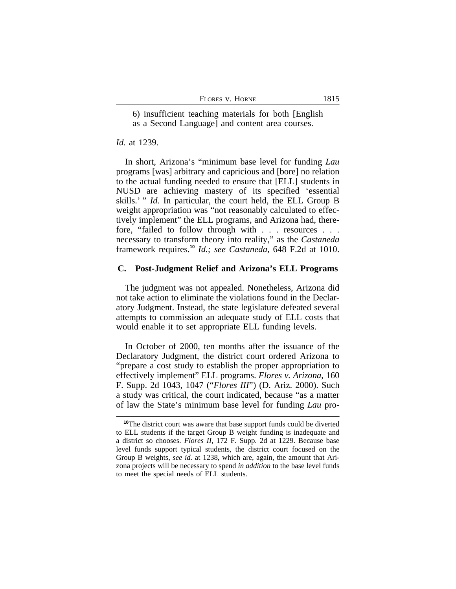| FLORES V. HORNE | 1815 |
|-----------------|------|
|-----------------|------|

6) insufficient teaching materials for both [English as a Second Language] and content area courses.

#### *Id.* at 1239.

In short, Arizona's "minimum base level for funding *Lau* programs [was] arbitrary and capricious and [bore] no relation to the actual funding needed to ensure that [ELL] students in NUSD are achieving mastery of its specified 'essential skills.' " *Id.* In particular, the court held, the ELL Group B weight appropriation was "not reasonably calculated to effectively implement" the ELL programs, and Arizona had, therefore, "failed to follow through with . . . resources . . . necessary to transform theory into reality," as the *Castaneda* framework requires.**<sup>10</sup>** *Id.; see Castaneda*, 648 F.2d at 1010.

#### **C. Post-Judgment Relief and Arizona's ELL Programs**

The judgment was not appealed. Nonetheless, Arizona did not take action to eliminate the violations found in the Declaratory Judgment. Instead, the state legislature defeated several attempts to commission an adequate study of ELL costs that would enable it to set appropriate ELL funding levels.

In October of 2000, ten months after the issuance of the Declaratory Judgment, the district court ordered Arizona to "prepare a cost study to establish the proper appropriation to effectively implement" ELL programs. *Flores v. Arizona*, 160 F. Supp. 2d 1043, 1047 ("*Flores III*") (D. Ariz. 2000). Such a study was critical, the court indicated, because "as a matter of law the State's minimum base level for funding *Lau* pro-

<sup>&</sup>lt;sup>10</sup>The district court was aware that base support funds could be diverted to ELL students if the target Group B weight funding is inadequate and a district so chooses. *Flores II*, 172 F. Supp. 2d at 1229. Because base level funds support typical students, the district court focused on the Group B weights, *see id.* at 1238, which are, again, the amount that Arizona projects will be necessary to spend *in addition* to the base level funds to meet the special needs of ELL students.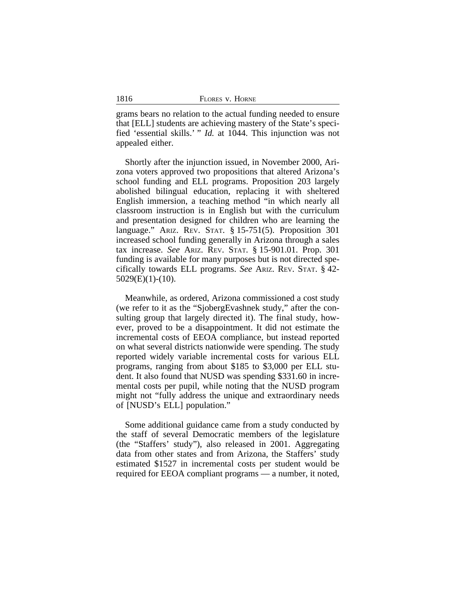grams bears no relation to the actual funding needed to ensure that [ELL] students are achieving mastery of the State's specified 'essential skills.' " *Id.* at 1044. This injunction was not appealed either.

Shortly after the injunction issued, in November 2000, Arizona voters approved two propositions that altered Arizona's school funding and ELL programs. Proposition 203 largely abolished bilingual education, replacing it with sheltered English immersion, a teaching method "in which nearly all classroom instruction is in English but with the curriculum and presentation designed for children who are learning the language." ARIZ. REV. STAT. § 15-751(5). Proposition 301 increased school funding generally in Arizona through a sales tax increase. *See* ARIZ. REV. STAT. § 15-901.01. Prop. 301 funding is available for many purposes but is not directed specifically towards ELL programs. *See* ARIZ. REV. STAT. § 42- 5029(E)(1)-(10).

Meanwhile, as ordered, Arizona commissioned a cost study (we refer to it as the "SjobergEvashnek study," after the consulting group that largely directed it). The final study, however, proved to be a disappointment. It did not estimate the incremental costs of EEOA compliance, but instead reported on what several districts nationwide were spending. The study reported widely variable incremental costs for various ELL programs, ranging from about \$185 to \$3,000 per ELL student. It also found that NUSD was spending \$331.60 in incremental costs per pupil, while noting that the NUSD program might not "fully address the unique and extraordinary needs of [NUSD's ELL] population."

Some additional guidance came from a study conducted by the staff of several Democratic members of the legislature (the "Staffers' study"), also released in 2001. Aggregating data from other states and from Arizona, the Staffers' study estimated \$1527 in incremental costs per student would be required for EEOA compliant programs — a number, it noted,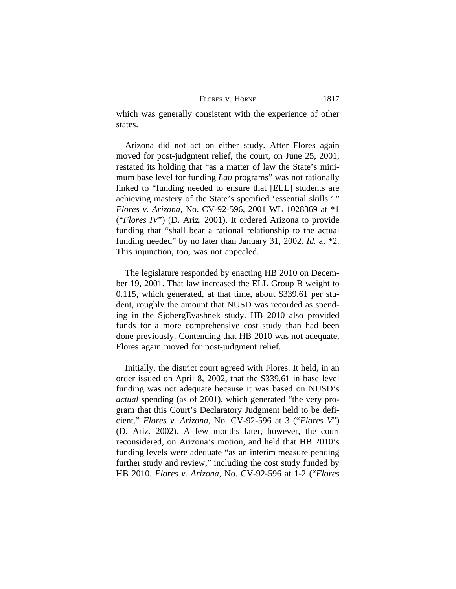| Flores v. Horne | 1817 |
|-----------------|------|
|                 |      |

which was generally consistent with the experience of other states.

Arizona did not act on either study. After Flores again moved for post-judgment relief, the court, on June 25, 2001, restated its holding that "as a matter of law the State's minimum base level for funding *Lau* programs" was not rationally linked to "funding needed to ensure that [ELL] students are achieving mastery of the State's specified 'essential skills.' " *Flores v. Arizona*, No. CV-92-596, 2001 WL 1028369 at \*1 ("*Flores IV*") (D. Ariz. 2001). It ordered Arizona to provide funding that "shall bear a rational relationship to the actual funding needed" by no later than January 31, 2002. *Id.* at \*2. This injunction, too, was not appealed.

The legislature responded by enacting HB 2010 on December 19, 2001. That law increased the ELL Group B weight to 0.115, which generated, at that time, about \$339.61 per student, roughly the amount that NUSD was recorded as spending in the SjobergEvashnek study. HB 2010 also provided funds for a more comprehensive cost study than had been done previously. Contending that HB 2010 was not adequate, Flores again moved for post-judgment relief.

Initially, the district court agreed with Flores. It held, in an order issued on April 8, 2002, that the \$339.61 in base level funding was not adequate because it was based on NUSD's *actual* spending (as of 2001), which generated "the very program that this Court's Declaratory Judgment held to be deficient." *Flores v. Arizona*, No. CV-92-596 at 3 ("*Flores V*") (D. Ariz. 2002). A few months later, however, the court reconsidered, on Arizona's motion, and held that HB 2010's funding levels were adequate "as an interim measure pending further study and review," including the cost study funded by HB 2010. *Flores v. Arizona*, No. CV-92-596 at 1-2 ("*Flores*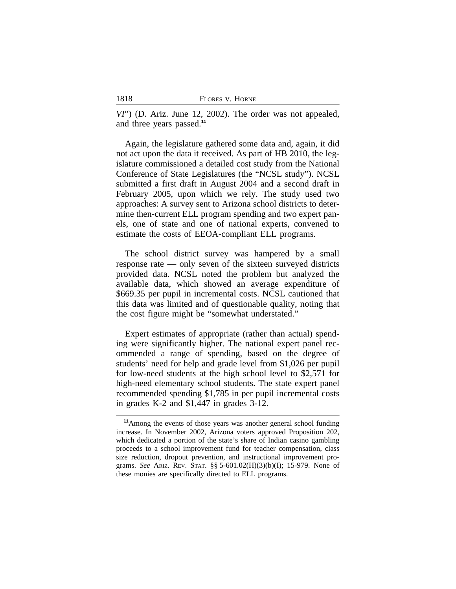*VI*") (D. Ariz. June 12, 2002). The order was not appealed, and three years passed.**<sup>11</sup>**

Again, the legislature gathered some data and, again, it did not act upon the data it received. As part of HB 2010, the legislature commissioned a detailed cost study from the National Conference of State Legislatures (the "NCSL study"). NCSL submitted a first draft in August 2004 and a second draft in February 2005, upon which we rely. The study used two approaches: A survey sent to Arizona school districts to determine then-current ELL program spending and two expert panels, one of state and one of national experts, convened to estimate the costs of EEOA-compliant ELL programs.

The school district survey was hampered by a small response rate — only seven of the sixteen surveyed districts provided data. NCSL noted the problem but analyzed the available data, which showed an average expenditure of \$669.35 per pupil in incremental costs. NCSL cautioned that this data was limited and of questionable quality, noting that the cost figure might be "somewhat understated."

Expert estimates of appropriate (rather than actual) spending were significantly higher. The national expert panel recommended a range of spending, based on the degree of students' need for help and grade level from \$1,026 per pupil for low-need students at the high school level to \$2,571 for high-need elementary school students. The state expert panel recommended spending \$1,785 in per pupil incremental costs in grades K-2 and \$1,447 in grades 3-12.

**<sup>11</sup>**Among the events of those years was another general school funding increase. In November 2002, Arizona voters approved Proposition 202, which dedicated a portion of the state's share of Indian casino gambling proceeds to a school improvement fund for teacher compensation, class size reduction, dropout prevention, and instructional improvement programs. *See* ARIZ. REV. STAT. §§ 5-601.02(H)(3)(b)(I); 15-979. None of these monies are specifically directed to ELL programs.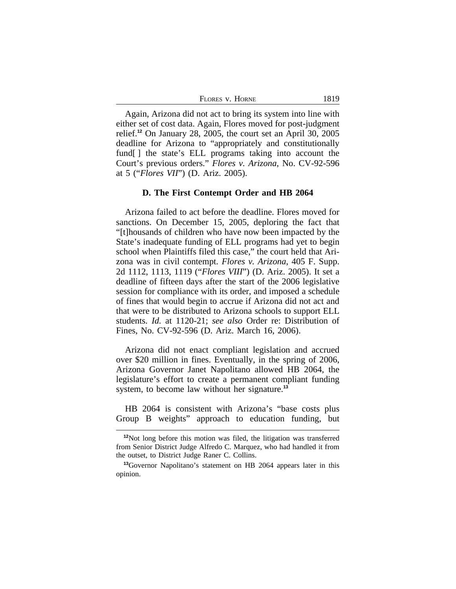| FLORES V. HORNE | 1819 |
|-----------------|------|
|-----------------|------|

Again, Arizona did not act to bring its system into line with either set of cost data. Again, Flores moved for post-judgment relief.**<sup>12</sup>** On January 28, 2005, the court set an April 30, 2005 deadline for Arizona to "appropriately and constitutionally fund[] the state's ELL programs taking into account the Court's previous orders." *Flores v. Arizona*, No. CV-92-596 at 5 ("*Flores VII*") (D. Ariz. 2005).

# **D. The First Contempt Order and HB 2064**

Arizona failed to act before the deadline. Flores moved for sanctions. On December 15, 2005, deploring the fact that "[t]housands of children who have now been impacted by the State's inadequate funding of ELL programs had yet to begin school when Plaintiffs filed this case," the court held that Arizona was in civil contempt. *Flores v. Arizona*, 405 F. Supp. 2d 1112, 1113, 1119 ("*Flores VIII*") (D. Ariz. 2005). It set a deadline of fifteen days after the start of the 2006 legislative session for compliance with its order, and imposed a schedule of fines that would begin to accrue if Arizona did not act and that were to be distributed to Arizona schools to support ELL students. *Id.* at 1120-21; *see also* Order re: Distribution of Fines, No. CV-92-596 (D. Ariz. March 16, 2006).

Arizona did not enact compliant legislation and accrued over \$20 million in fines. Eventually, in the spring of 2006, Arizona Governor Janet Napolitano allowed HB 2064, the legislature's effort to create a permanent compliant funding system, to become law without her signature.**<sup>13</sup>**

HB 2064 is consistent with Arizona's "base costs plus Group B weights" approach to education funding, but

**<sup>12</sup>**Not long before this motion was filed, the litigation was transferred from Senior District Judge Alfredo C. Marquez, who had handled it from the outset, to District Judge Raner C. Collins.

**<sup>13</sup>**Governor Napolitano's statement on HB 2064 appears later in this opinion.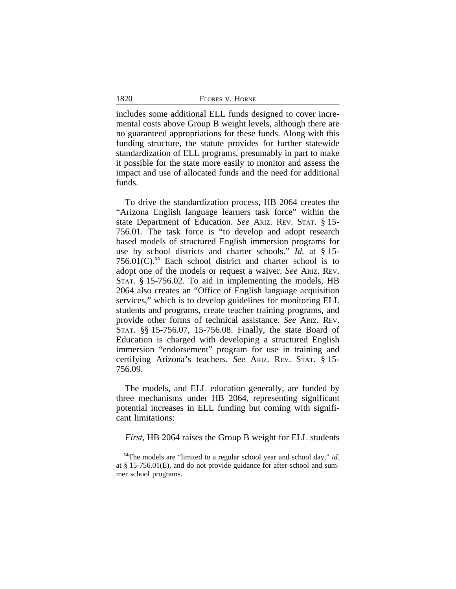includes some additional ELL funds designed to cover incremental costs above Group B weight levels, although there are no guaranteed appropriations for these funds. Along with this funding structure, the statute provides for further statewide standardization of ELL programs, presumably in part to make it possible for the state more easily to monitor and assess the impact and use of allocated funds and the need for additional funds.

To drive the standardization process, HB 2064 creates the "Arizona English language learners task force" within the state Department of Education. *See* ARIZ. REV. STAT. § 15- 756.01. The task force is "to develop and adopt research based models of structured English immersion programs for use by school districts and charter schools." *Id.* at § 15- 756.01(C).**<sup>14</sup>** Each school district and charter school is to adopt one of the models or request a waiver. *See* ARIZ. REV. STAT. § 15-756.02. To aid in implementing the models, HB 2064 also creates an "Office of English language acquisition services," which is to develop guidelines for monitoring ELL students and programs, create teacher training programs, and provide other forms of technical assistance. *See* ARIZ. REV. STAT. §§ 15-756.07, 15-756.08. Finally, the state Board of Education is charged with developing a structured English immersion "endorsement" program for use in training and certifying Arizona's teachers. *See* ARIZ. REV. STAT. § 15- 756.09.

The models, and ELL education generally, are funded by three mechanisms under HB 2064, representing significant potential increases in ELL funding but coming with significant limitations:

*First*, HB 2064 raises the Group B weight for ELL students

**<sup>14</sup>**The models are "limited to a regular school year and school day," *id.* at § 15-756.01(E), and do not provide guidance for after-school and summer school programs.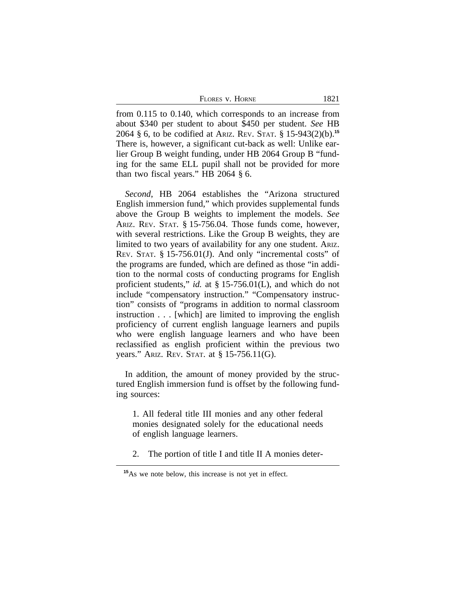from 0.115 to 0.140, which corresponds to an increase from about \$340 per student to about \$450 per student. *See* HB 2064 § 6, to be codified at ARIZ. REV. STAT. § 15-943(2)(b).**<sup>15</sup>** There is, however, a significant cut-back as well: Unlike earlier Group B weight funding, under HB 2064 Group B "funding for the same ELL pupil shall not be provided for more than two fiscal years." HB 2064 § 6.

*Second*, HB 2064 establishes the "Arizona structured English immersion fund," which provides supplemental funds above the Group B weights to implement the models. *See* ARIZ. REV. STAT. § 15-756.04. Those funds come, however, with several restrictions. Like the Group B weights, they are limited to two years of availability for any one student. ARIZ. REV. STAT. § 15-756.01(J). And only "incremental costs" of the programs are funded, which are defined as those "in addition to the normal costs of conducting programs for English proficient students," *id.* at § 15-756.01(L), and which do not include "compensatory instruction." "Compensatory instruction" consists of "programs in addition to normal classroom instruction . . . [which] are limited to improving the english proficiency of current english language learners and pupils who were english language learners and who have been reclassified as english proficient within the previous two years." ARIZ. REV. STAT. at § 15-756.11(G).

In addition, the amount of money provided by the structured English immersion fund is offset by the following funding sources:

1. All federal title III monies and any other federal monies designated solely for the educational needs of english language learners.

2. The portion of title I and title II A monies deter-

**<sup>15</sup>**As we note below, this increase is not yet in effect.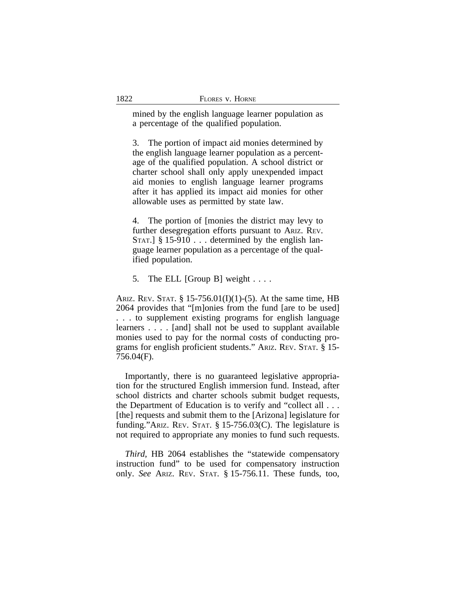mined by the english language learner population as a percentage of the qualified population.

3. The portion of impact aid monies determined by the english language learner population as a percentage of the qualified population. A school district or charter school shall only apply unexpended impact aid monies to english language learner programs after it has applied its impact aid monies for other allowable uses as permitted by state law.

4. The portion of [monies the district may levy to further desegregation efforts pursuant to ARIZ. REV. STAT.]  $\S 15-910$ ... determined by the english language learner population as a percentage of the qualified population.

5. The ELL [Group B] weight . . . .

ARIZ. REV. STAT.  $\S 15-756.01(I)(1)-(5)$ . At the same time, HB 2064 provides that "[m]onies from the fund [are to be used] . . . to supplement existing programs for english language learners . . . . [and] shall not be used to supplant available monies used to pay for the normal costs of conducting programs for english proficient students." ARIZ. REV. STAT. § 15- 756.04(F).

Importantly, there is no guaranteed legislative appropriation for the structured English immersion fund. Instead, after school districts and charter schools submit budget requests, the Department of Education is to verify and "collect all . . . [the] requests and submit them to the [Arizona] legislature for funding."ARIZ. REV. STAT. § 15-756.03(C). The legislature is not required to appropriate any monies to fund such requests.

*Third*, HB 2064 establishes the "statewide compensatory instruction fund" to be used for compensatory instruction only. *See* ARIZ. REV. STAT. § 15-756.11. These funds, too,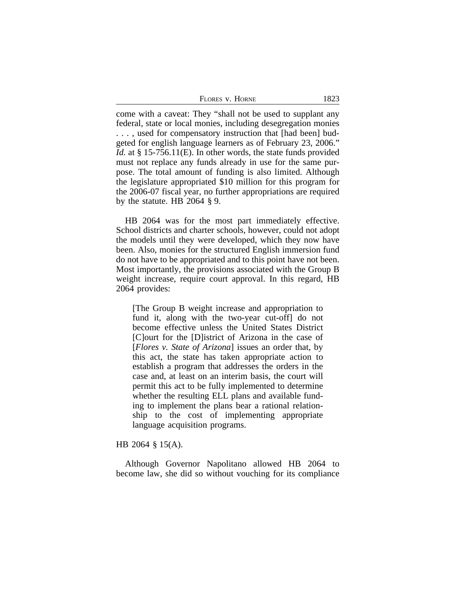| Flores v. Horne | 1823 |
|-----------------|------|
|-----------------|------|

come with a caveat: They "shall not be used to supplant any federal, state or local monies, including desegregation monies . . . , used for compensatory instruction that [had been] budgeted for english language learners as of February 23, 2006." *Id.* at § 15-756.11(E). In other words, the state funds provided must not replace any funds already in use for the same purpose. The total amount of funding is also limited. Although the legislature appropriated \$10 million for this program for the 2006-07 fiscal year, no further appropriations are required by the statute. HB 2064 § 9.

HB 2064 was for the most part immediately effective. School districts and charter schools, however, could not adopt the models until they were developed, which they now have been. Also, monies for the structured English immersion fund do not have to be appropriated and to this point have not been. Most importantly, the provisions associated with the Group B weight increase, require court approval. In this regard, HB 2064 provides:

[The Group B weight increase and appropriation to fund it, along with the two-year cut-off] do not become effective unless the United States District [C]ourt for the [D]istrict of Arizona in the case of [*Flores v. State of Arizona*] issues an order that, by this act, the state has taken appropriate action to establish a program that addresses the orders in the case and, at least on an interim basis, the court will permit this act to be fully implemented to determine whether the resulting ELL plans and available funding to implement the plans bear a rational relationship to the cost of implementing appropriate language acquisition programs.

## HB 2064 § 15(A).

Although Governor Napolitano allowed HB 2064 to become law, she did so without vouching for its compliance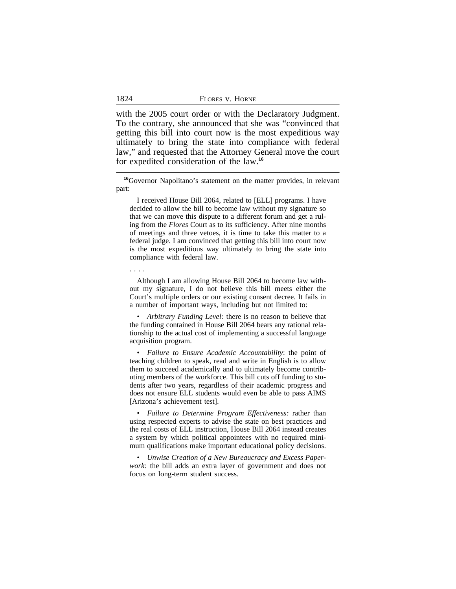| 1824 | FLORES V. HORNE |
|------|-----------------|
|      |                 |

with the 2005 court order or with the Declaratory Judgment. To the contrary, she announced that she was "convinced that getting this bill into court now is the most expeditious way ultimately to bring the state into compliance with federal law," and requested that the Attorney General move the court for expedited consideration of the law.**<sup>16</sup>**

**<sup>16</sup>**Governor Napolitano's statement on the matter provides, in relevant part:

I received House Bill 2064, related to [ELL] programs. I have decided to allow the bill to become law without my signature so that we can move this dispute to a different forum and get a ruling from the *Flores* Court as to its sufficiency. After nine months of meetings and three vetoes, it is time to take this matter to a federal judge. I am convinced that getting this bill into court now is the most expeditious way ultimately to bring the state into compliance with federal law.

. . . .

Although I am allowing House Bill 2064 to become law without my signature, I do not believe this bill meets either the Court's multiple orders or our existing consent decree. It fails in a number of important ways, including but not limited to:

• *Arbitrary Funding Level:* there is no reason to believe that the funding contained in House Bill 2064 bears any rational relationship to the actual cost of implementing a successful language acquisition program.

• *Failure to Ensure Academic Accountability*: the point of teaching children to speak, read and write in English is to allow them to succeed academically and to ultimately become contributing members of the workforce. This bill cuts off funding to students after two years, regardless of their academic progress and does not ensure ELL students would even be able to pass AIMS [Arizona's achievement test].

• *Failure to Determine Program Effectiveness:* rather than using respected experts to advise the state on best practices and the real costs of ELL instruction, House Bill 2064 instead creates a system by which political appointees with no required minimum qualifications make important educational policy decisions.

• *Unwise Creation of a New Bureaucracy and Excess Paperwork:* the bill adds an extra layer of government and does not focus on long-term student success.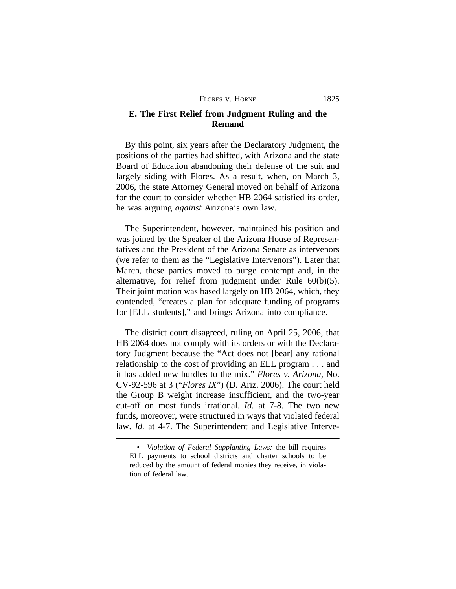# **E. The First Relief from Judgment Ruling and the Remand**

By this point, six years after the Declaratory Judgment, the positions of the parties had shifted, with Arizona and the state Board of Education abandoning their defense of the suit and largely siding with Flores. As a result, when, on March 3, 2006, the state Attorney General moved on behalf of Arizona for the court to consider whether HB 2064 satisfied its order, he was arguing *against* Arizona's own law.

The Superintendent, however, maintained his position and was joined by the Speaker of the Arizona House of Representatives and the President of the Arizona Senate as intervenors (we refer to them as the "Legislative Intervenors"). Later that March, these parties moved to purge contempt and, in the alternative, for relief from judgment under Rule 60(b)(5). Their joint motion was based largely on HB 2064, which, they contended, "creates a plan for adequate funding of programs for [ELL students]," and brings Arizona into compliance.

The district court disagreed, ruling on April 25, 2006, that HB 2064 does not comply with its orders or with the Declaratory Judgment because the "Act does not [bear] any rational relationship to the cost of providing an ELL program . . . and it has added new hurdles to the mix." *Flores v. Arizona*, No. CV-92-596 at 3 ("*Flores IX*") (D. Ariz. 2006). The court held the Group B weight increase insufficient, and the two-year cut-off on most funds irrational. *Id.* at 7-8. The two new funds, moreover, were structured in ways that violated federal law. *Id.* at 4-7. The Superintendent and Legislative Interve-

<sup>•</sup> *Violation of Federal Supplanting Laws:* the bill requires ELL payments to school districts and charter schools to be reduced by the amount of federal monies they receive, in violation of federal law.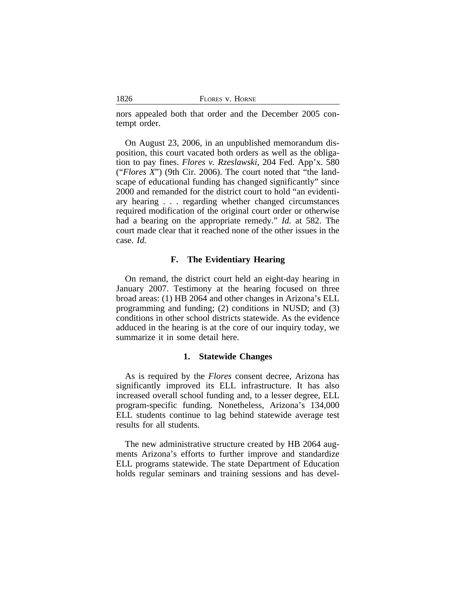| 1826 | FLORES V. HORNE |
|------|-----------------|
|      |                 |

nors appealed both that order and the December 2005 contempt order.

On August 23, 2006, in an unpublished memorandum disposition, this court vacated both orders as well as the obligation to pay fines. *Flores v. Rzeslawski*, 204 Fed. App'x. 580 ("*Flores X*") (9th Cir. 2006). The court noted that "the landscape of educational funding has changed significantly" since 2000 and remanded for the district court to hold "an evidentiary hearing . . . regarding whether changed circumstances required modification of the original court order or otherwise had a bearing on the appropriate remedy." *Id.* at 582. The court made clear that it reached none of the other issues in the case. *Id.*

## **F. The Evidentiary Hearing**

On remand, the district court held an eight-day hearing in January 2007. Testimony at the hearing focused on three broad areas: (1) HB 2064 and other changes in Arizona's ELL programming and funding; (2) conditions in NUSD; and (3) conditions in other school districts statewide. As the evidence adduced in the hearing is at the core of our inquiry today, we summarize it in some detail here.

#### **1. Statewide Changes**

As is required by the *Flores* consent decree, Arizona has significantly improved its ELL infrastructure. It has also increased overall school funding and, to a lesser degree, ELL program-specific funding. Nonetheless, Arizona's 134,000 ELL students continue to lag behind statewide average test results for all students.

The new administrative structure created by HB 2064 augments Arizona's efforts to further improve and standardize ELL programs statewide. The state Department of Education holds regular seminars and training sessions and has devel-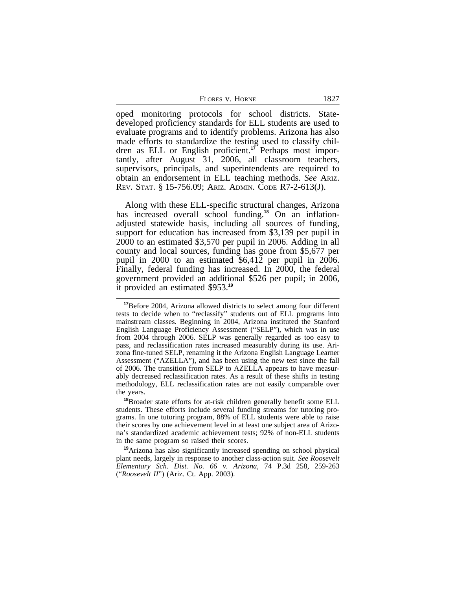| 1827 |
|------|
|      |

oped monitoring protocols for school districts. Statedeveloped proficiency standards for ELL students are used to evaluate programs and to identify problems. Arizona has also made efforts to standardize the testing used to classify children as ELL or English proficient.**17** Perhaps most importantly, after August 31, 2006, all classroom teachers, supervisors, principals, and superintendents are required to obtain an endorsement in ELL teaching methods. *See* ARIZ. REV. STAT. § 15-756.09; ARIZ. ADMIN. CODE R7-2-613(J).

Along with these ELL-specific structural changes, Arizona has increased overall school funding.**18** On an inflationadjusted statewide basis, including all sources of funding, support for education has increased from \$3,139 per pupil in 2000 to an estimated \$3,570 per pupil in 2006. Adding in all county and local sources, funding has gone from \$5,677 per pupil in 2000 to an estimated \$6,412 per pupil in 2006. Finally, federal funding has increased. In 2000, the federal government provided an additional \$526 per pupil; in 2006, it provided an estimated \$953.**<sup>19</sup>**

**<sup>17</sup>**Before 2004, Arizona allowed districts to select among four different tests to decide when to "reclassify" students out of ELL programs into mainstream classes. Beginning in 2004, Arizona instituted the Stanford English Language Proficiency Assessment ("SELP"), which was in use from 2004 through 2006. SELP was generally regarded as too easy to pass, and reclassification rates increased measurably during its use. Arizona fine-tuned SELP, renaming it the Arizona English Language Learner Assessment ("AZELLA"), and has been using the new test since the fall of 2006. The transition from SELP to AZELLA appears to have measurably decreased reclassification rates. As a result of these shifts in testing methodology, ELL reclassification rates are not easily comparable over the years.

**<sup>18</sup>**Broader state efforts for at-risk children generally benefit some ELL students. These efforts include several funding streams for tutoring programs. In one tutoring program, 88% of ELL students were able to raise their scores by one achievement level in at least one subject area of Arizona's standardized academic achievement tests; 92% of non-ELL students in the same program so raised their scores.

**<sup>19</sup>**Arizona has also significantly increased spending on school physical plant needs, largely in response to another class-action suit. *See Roosevelt Elementary Sch. Dist. No. 66 v. Arizona*, 74 P.3d 258, 259-263 ("*Roosevelt II*") (Ariz. Ct. App. 2003).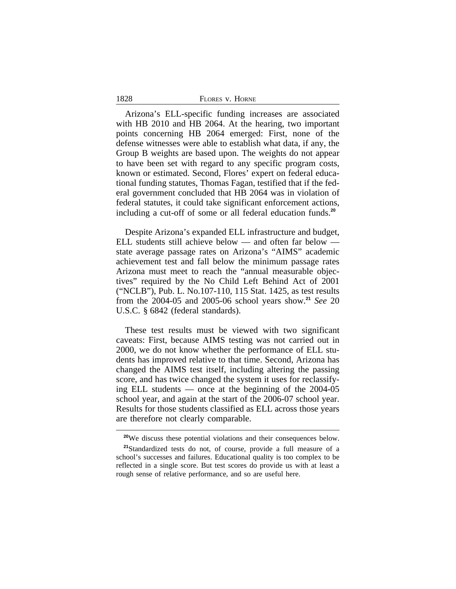| 1828 | FLORES V. HORNE |
|------|-----------------|
|------|-----------------|

Arizona's ELL-specific funding increases are associated with HB 2010 and HB 2064. At the hearing, two important points concerning HB 2064 emerged: First, none of the defense witnesses were able to establish what data, if any, the Group B weights are based upon. The weights do not appear to have been set with regard to any specific program costs, known or estimated. Second, Flores' expert on federal educational funding statutes, Thomas Fagan, testified that if the federal government concluded that HB 2064 was in violation of federal statutes, it could take significant enforcement actions, including a cut-off of some or all federal education funds.**<sup>20</sup>**

Despite Arizona's expanded ELL infrastructure and budget, ELL students still achieve below — and often far below state average passage rates on Arizona's "AIMS" academic achievement test and fall below the minimum passage rates Arizona must meet to reach the "annual measurable objectives" required by the No Child Left Behind Act of 2001 ("NCLB"), Pub. L. No.107-110, 115 Stat. 1425, as test results from the 2004-05 and 2005-06 school years show.**<sup>21</sup>** *See* 20 U.S.C. § 6842 (federal standards).

These test results must be viewed with two significant caveats: First, because AIMS testing was not carried out in 2000, we do not know whether the performance of ELL students has improved relative to that time. Second, Arizona has changed the AIMS test itself, including altering the passing score, and has twice changed the system it uses for reclassifying ELL students — once at the beginning of the 2004-05 school year, and again at the start of the 2006-07 school year. Results for those students classified as ELL across those years are therefore not clearly comparable.

**<sup>20</sup>**We discuss these potential violations and their consequences below. **<sup>21</sup>**Standardized tests do not, of course, provide a full measure of a school's successes and failures. Educational quality is too complex to be reflected in a single score. But test scores do provide us with at least a rough sense of relative performance, and so are useful here.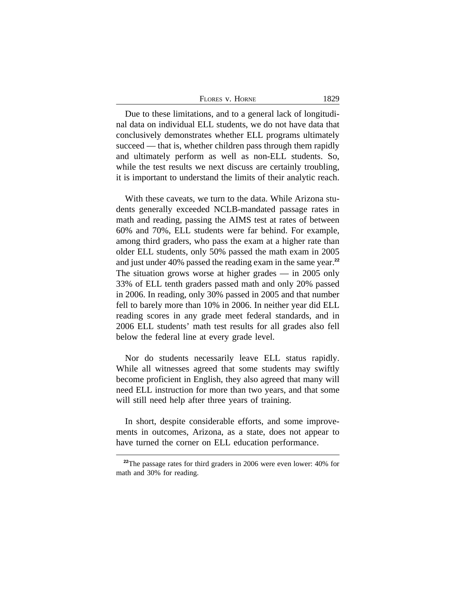| FLORES V. HORNE | 1829 |
|-----------------|------|
|-----------------|------|

Due to these limitations, and to a general lack of longitudinal data on individual ELL students, we do not have data that conclusively demonstrates whether ELL programs ultimately succeed — that is, whether children pass through them rapidly and ultimately perform as well as non-ELL students. So, while the test results we next discuss are certainly troubling, it is important to understand the limits of their analytic reach.

With these caveats, we turn to the data. While Arizona students generally exceeded NCLB-mandated passage rates in math and reading, passing the AIMS test at rates of between 60% and 70%, ELL students were far behind. For example, among third graders, who pass the exam at a higher rate than older ELL students, only 50% passed the math exam in 2005 and just under 40% passed the reading exam in the same year.**<sup>22</sup>** The situation grows worse at higher grades — in 2005 only 33% of ELL tenth graders passed math and only 20% passed in 2006. In reading, only 30% passed in 2005 and that number fell to barely more than 10% in 2006. In neither year did ELL reading scores in any grade meet federal standards, and in 2006 ELL students' math test results for all grades also fell below the federal line at every grade level.

Nor do students necessarily leave ELL status rapidly. While all witnesses agreed that some students may swiftly become proficient in English, they also agreed that many will need ELL instruction for more than two years, and that some will still need help after three years of training.

In short, despite considerable efforts, and some improvements in outcomes, Arizona, as a state, does not appear to have turned the corner on ELL education performance.

**<sup>22</sup>**The passage rates for third graders in 2006 were even lower: 40% for math and 30% for reading.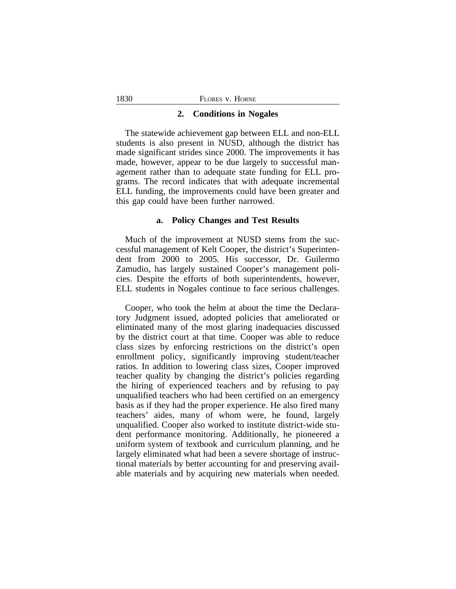#### **2. Conditions in Nogales**

The statewide achievement gap between ELL and non-ELL students is also present in NUSD, although the district has made significant strides since 2000. The improvements it has made, however, appear to be due largely to successful management rather than to adequate state funding for ELL programs. The record indicates that with adequate incremental ELL funding, the improvements could have been greater and this gap could have been further narrowed.

# **a. Policy Changes and Test Results**

Much of the improvement at NUSD stems from the successful management of Kelt Cooper, the district's Superintendent from 2000 to 2005. His successor, Dr. Guilermo Zamudio, has largely sustained Cooper's management policies. Despite the efforts of both superintendents, however, ELL students in Nogales continue to face serious challenges.

Cooper, who took the helm at about the time the Declaratory Judgment issued, adopted policies that ameliorated or eliminated many of the most glaring inadequacies discussed by the district court at that time. Cooper was able to reduce class sizes by enforcing restrictions on the district's open enrollment policy, significantly improving student/teacher ratios. In addition to lowering class sizes, Cooper improved teacher quality by changing the district's policies regarding the hiring of experienced teachers and by refusing to pay unqualified teachers who had been certified on an emergency basis as if they had the proper experience. He also fired many teachers' aides, many of whom were, he found, largely unqualified. Cooper also worked to institute district-wide student performance monitoring. Additionally, he pioneered a uniform system of textbook and curriculum planning, and he largely eliminated what had been a severe shortage of instructional materials by better accounting for and preserving available materials and by acquiring new materials when needed.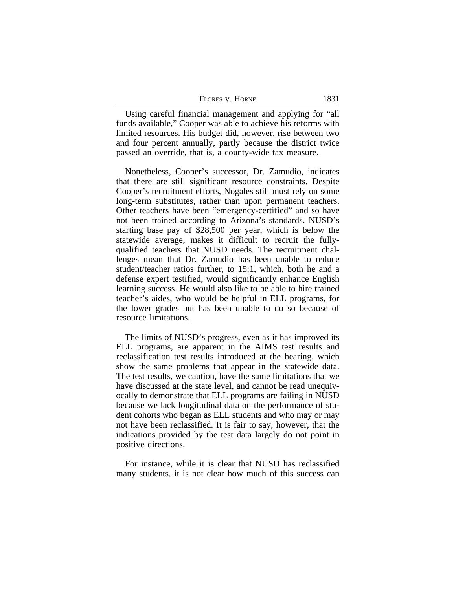| FLORES V. HORNE | 1831 |
|-----------------|------|
|-----------------|------|

Using careful financial management and applying for "all funds available," Cooper was able to achieve his reforms with limited resources. His budget did, however, rise between two and four percent annually, partly because the district twice passed an override, that is, a county-wide tax measure.

Nonetheless, Cooper's successor, Dr. Zamudio, indicates that there are still significant resource constraints. Despite Cooper's recruitment efforts, Nogales still must rely on some long-term substitutes, rather than upon permanent teachers. Other teachers have been "emergency-certified" and so have not been trained according to Arizona's standards. NUSD's starting base pay of \$28,500 per year, which is below the statewide average, makes it difficult to recruit the fullyqualified teachers that NUSD needs. The recruitment challenges mean that Dr. Zamudio has been unable to reduce student/teacher ratios further, to 15:1, which, both he and a defense expert testified, would significantly enhance English learning success. He would also like to be able to hire trained teacher's aides, who would be helpful in ELL programs, for the lower grades but has been unable to do so because of resource limitations.

The limits of NUSD's progress, even as it has improved its ELL programs, are apparent in the AIMS test results and reclassification test results introduced at the hearing, which show the same problems that appear in the statewide data. The test results, we caution, have the same limitations that we have discussed at the state level, and cannot be read unequivocally to demonstrate that ELL programs are failing in NUSD because we lack longitudinal data on the performance of student cohorts who began as ELL students and who may or may not have been reclassified. It is fair to say, however, that the indications provided by the test data largely do not point in positive directions.

For instance, while it is clear that NUSD has reclassified many students, it is not clear how much of this success can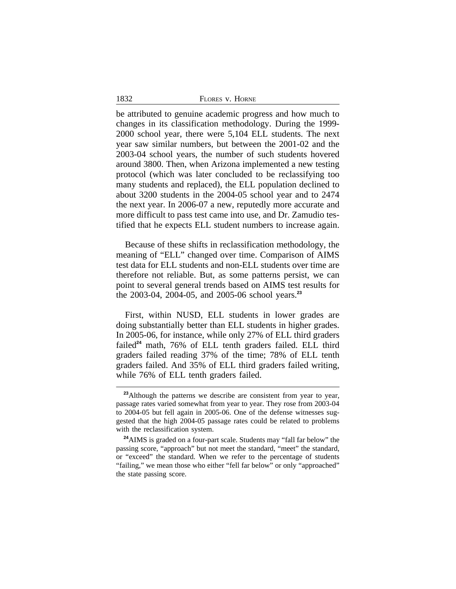| 1832 | FLORES V. HORNE |
|------|-----------------|
|      |                 |

be attributed to genuine academic progress and how much to changes in its classification methodology. During the 1999- 2000 school year, there were 5,104 ELL students. The next year saw similar numbers, but between the 2001-02 and the 2003-04 school years, the number of such students hovered around 3800. Then, when Arizona implemented a new testing protocol (which was later concluded to be reclassifying too many students and replaced), the ELL population declined to about 3200 students in the 2004-05 school year and to 2474 the next year. In 2006-07 a new, reputedly more accurate and more difficult to pass test came into use, and Dr. Zamudio testified that he expects ELL student numbers to increase again.

Because of these shifts in reclassification methodology, the meaning of "ELL" changed over time. Comparison of AIMS test data for ELL students and non-ELL students over time are therefore not reliable. But, as some patterns persist, we can point to several general trends based on AIMS test results for the 2003-04, 2004-05, and 2005-06 school years.**<sup>23</sup>**

First, within NUSD, ELL students in lower grades are doing substantially better than ELL students in higher grades. In 2005-06, for instance, while only 27% of ELL third graders failed<sup>24</sup> math, 76% of ELL tenth graders failed. ELL third graders failed reading 37% of the time; 78% of ELL tenth graders failed. And 35% of ELL third graders failed writing, while 76% of ELL tenth graders failed.

<sup>&</sup>lt;sup>23</sup>Although the patterns we describe are consistent from year to year, passage rates varied somewhat from year to year. They rose from 2003-04 to 2004-05 but fell again in 2005-06. One of the defense witnesses suggested that the high 2004-05 passage rates could be related to problems with the reclassification system.

**<sup>24</sup>**AIMS is graded on a four-part scale. Students may "fall far below" the passing score, "approach" but not meet the standard, "meet" the standard, or "exceed" the standard. When we refer to the percentage of students "failing," we mean those who either "fell far below" or only "approached" the state passing score.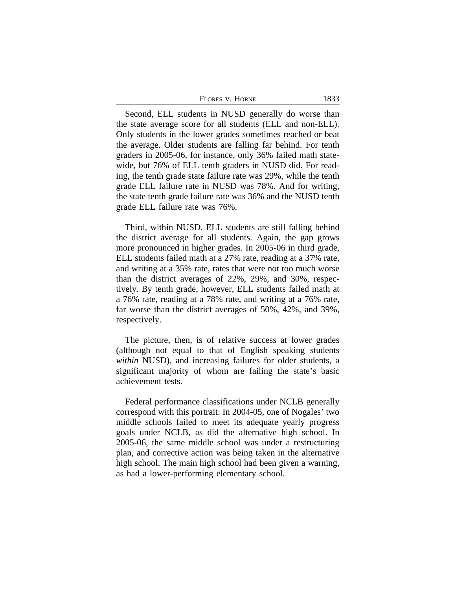| 1833 |
|------|
|      |

Second, ELL students in NUSD generally do worse than the state average score for all students (ELL and non-ELL). Only students in the lower grades sometimes reached or beat the average. Older students are falling far behind. For tenth graders in 2005-06, for instance, only 36% failed math statewide, but 76% of ELL tenth graders in NUSD did. For reading, the tenth grade state failure rate was 29%, while the tenth grade ELL failure rate in NUSD was 78%. And for writing, the state tenth grade failure rate was 36% and the NUSD tenth grade ELL failure rate was 76%.

Third, within NUSD, ELL students are still falling behind the district average for all students. Again, the gap grows more pronounced in higher grades. In 2005-06 in third grade, ELL students failed math at a 27% rate, reading at a 37% rate, and writing at a 35% rate, rates that were not too much worse than the district averages of 22%, 29%, and 30%, respectively. By tenth grade, however, ELL students failed math at a 76% rate, reading at a 78% rate, and writing at a 76% rate, far worse than the district averages of 50%, 42%, and 39%, respectively.

The picture, then, is of relative success at lower grades (although not equal to that of English speaking students *within* NUSD), and increasing failures for older students, a significant majority of whom are failing the state's basic achievement tests.

Federal performance classifications under NCLB generally correspond with this portrait: In 2004-05, one of Nogales' two middle schools failed to meet its adequate yearly progress goals under NCLB, as did the alternative high school. In 2005-06, the same middle school was under a restructuring plan, and corrective action was being taken in the alternative high school. The main high school had been given a warning, as had a lower-performing elementary school.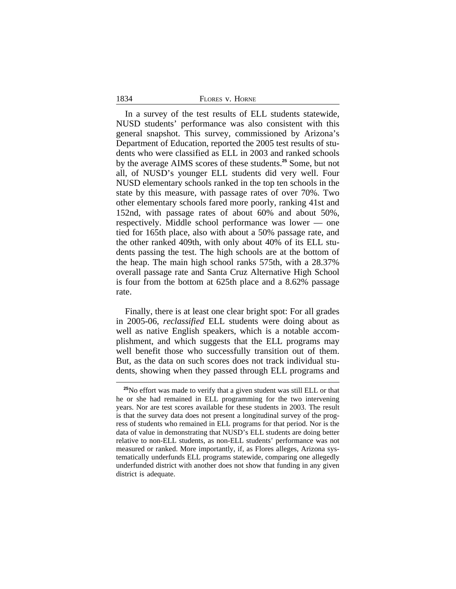| FLORES V. HORNE |  |  |
|-----------------|--|--|
|-----------------|--|--|

In a survey of the test results of ELL students statewide, NUSD students' performance was also consistent with this general snapshot. This survey, commissioned by Arizona's Department of Education, reported the 2005 test results of students who were classified as ELL in 2003 and ranked schools by the average AIMS scores of these students.**<sup>25</sup>** Some, but not all, of NUSD's younger ELL students did very well. Four NUSD elementary schools ranked in the top ten schools in the state by this measure, with passage rates of over 70%. Two other elementary schools fared more poorly, ranking 41st and 152nd, with passage rates of about 60% and about 50%, respectively. Middle school performance was lower — one tied for 165th place, also with about a 50% passage rate, and the other ranked 409th, with only about 40% of its ELL students passing the test. The high schools are at the bottom of the heap. The main high school ranks 575th, with a 28.37% overall passage rate and Santa Cruz Alternative High School is four from the bottom at 625th place and a 8.62% passage rate.

Finally, there is at least one clear bright spot: For all grades in 2005-06, *reclassified* ELL students were doing about as well as native English speakers, which is a notable accomplishment, and which suggests that the ELL programs may well benefit those who successfully transition out of them. But, as the data on such scores does not track individual students, showing when they passed through ELL programs and

**<sup>25</sup>**No effort was made to verify that a given student was still ELL or that he or she had remained in ELL programming for the two intervening years. Nor are test scores available for these students in 2003. The result is that the survey data does not present a longitudinal survey of the progress of students who remained in ELL programs for that period. Nor is the data of value in demonstrating that NUSD's ELL students are doing better relative to non-ELL students, as non-ELL students' performance was not measured or ranked. More importantly, if, as Flores alleges, Arizona systematically underfunds ELL programs statewide, comparing one allegedly underfunded district with another does not show that funding in any given district is adequate.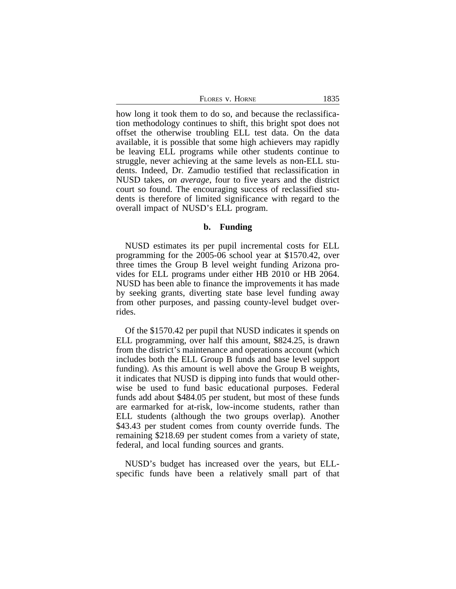| FLORES V. HORNE | 1835 |
|-----------------|------|
|                 |      |

how long it took them to do so, and because the reclassification methodology continues to shift, this bright spot does not offset the otherwise troubling ELL test data. On the data available, it is possible that some high achievers may rapidly be leaving ELL programs while other students continue to struggle, never achieving at the same levels as non-ELL students. Indeed, Dr. Zamudio testified that reclassification in NUSD takes, *on average*, four to five years and the district court so found. The encouraging success of reclassified students is therefore of limited significance with regard to the overall impact of NUSD's ELL program.

#### **b. Funding**

NUSD estimates its per pupil incremental costs for ELL programming for the 2005-06 school year at \$1570.42, over three times the Group B level weight funding Arizona provides for ELL programs under either HB 2010 or HB 2064. NUSD has been able to finance the improvements it has made by seeking grants, diverting state base level funding away from other purposes, and passing county-level budget overrides.

Of the \$1570.42 per pupil that NUSD indicates it spends on ELL programming, over half this amount, \$824.25, is drawn from the district's maintenance and operations account (which includes both the ELL Group B funds and base level support funding). As this amount is well above the Group B weights, it indicates that NUSD is dipping into funds that would otherwise be used to fund basic educational purposes. Federal funds add about \$484.05 per student, but most of these funds are earmarked for at-risk, low-income students, rather than ELL students (although the two groups overlap). Another \$43.43 per student comes from county override funds. The remaining \$218.69 per student comes from a variety of state, federal, and local funding sources and grants.

NUSD's budget has increased over the years, but ELLspecific funds have been a relatively small part of that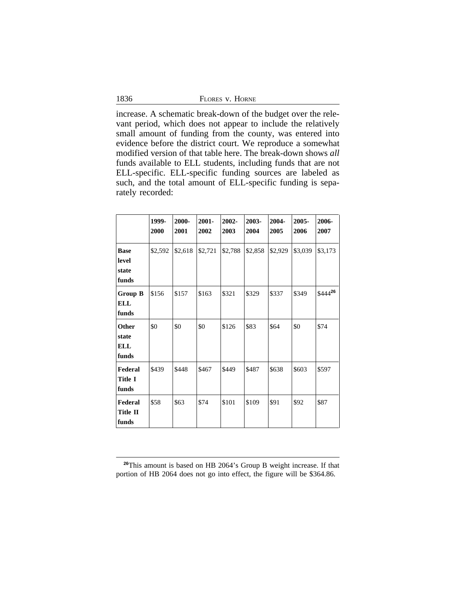1836

increase. A schematic break-down of the budget over the relevant period, which does not appear to include the relatively small amount of funding from the county, was entered into evidence before the district court. We reproduce a somewhat modified version of that table here. The break-down shows *all* funds available to ELL students, including funds that are not ELL-specific. ELL-specific funding sources are labeled as such, and the total amount of ELL-specific funding is separately recorded:

|                                        | 1999-<br>2000 | 2000-<br>2001 | $2001 -$<br>2002 | 2002-<br>2003 | 2003-<br>2004 | 2004-<br>2005 | 2005-<br>2006 | 2006-<br>2007 |
|----------------------------------------|---------------|---------------|------------------|---------------|---------------|---------------|---------------|---------------|
| <b>Base</b><br>level<br>state<br>funds | \$2,592       | \$2,618       | \$2,721          | \$2,788       | \$2,858       | \$2,929       | \$3,039       | \$3,173       |
| <b>Group B</b><br>ELL<br>funds         | \$156         | \$157         | \$163            | \$321         | \$329         | \$337         | \$349         | $$444^{26}$   |
| Other<br>state<br><b>ELL</b><br>funds  | \$0           | \$0           | \$0              | \$126         | \$83          | \$64          | \$0           | \$74          |
| Federal<br><b>Title I</b><br>funds     | \$439         | \$448         | \$467            | \$449         | \$487         | \$638         | \$603         | \$597         |
| Federal<br><b>Title II</b><br>funds    | \$58          | \$63          | \$74             | \$101         | \$109         | \$91          | \$92          | \$87          |

**<sup>26</sup>**This amount is based on HB 2064's Group B weight increase. If that portion of HB 2064 does not go into effect, the figure will be \$364.86.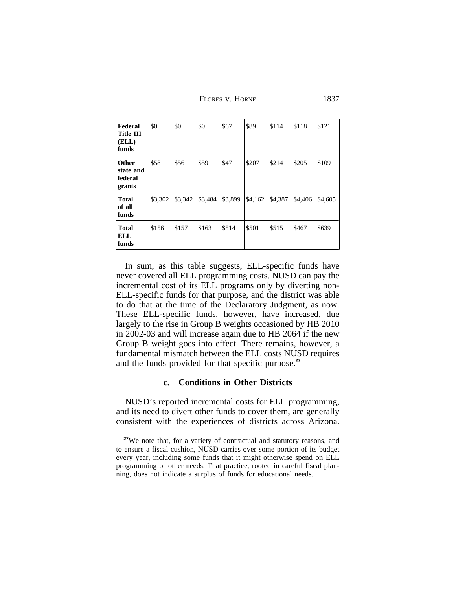FLORES V. HORNE 1837

| Federal<br><b>Title III</b><br>(ELL)<br>funds  | \$0     | \$0     | \$0     | \$67    | \$89    | \$114   | \$118   | \$121   |
|------------------------------------------------|---------|---------|---------|---------|---------|---------|---------|---------|
| <b>Other</b><br>state and<br>federal<br>grants | \$58    | \$56    | \$59    | \$47    | \$207   | \$214   | \$205   | \$109   |
| <b>Total</b><br>of all<br>funds                | \$3,302 | \$3,342 | \$3,484 | \$3,899 | \$4,162 | \$4,387 | \$4,406 | \$4,605 |
| <b>Total</b><br>ELL<br>funds                   | \$156   | \$157   | \$163   | \$514   | \$501   | \$515   | \$467   | \$639   |

In sum, as this table suggests, ELL-specific funds have never covered all ELL programming costs. NUSD can pay the incremental cost of its ELL programs only by diverting non-ELL-specific funds for that purpose, and the district was able to do that at the time of the Declaratory Judgment, as now. These ELL-specific funds, however, have increased, due largely to the rise in Group B weights occasioned by HB 2010 in 2002-03 and will increase again due to HB 2064 if the new Group B weight goes into effect. There remains, however, a fundamental mismatch between the ELL costs NUSD requires and the funds provided for that specific purpose.**<sup>27</sup>**

# **c. Conditions in Other Districts**

NUSD's reported incremental costs for ELL programming, and its need to divert other funds to cover them, are generally consistent with the experiences of districts across Arizona.

**<sup>27</sup>**We note that, for a variety of contractual and statutory reasons, and to ensure a fiscal cushion, NUSD carries over some portion of its budget every year, including some funds that it might otherwise spend on ELL programming or other needs. That practice, rooted in careful fiscal planning, does not indicate a surplus of funds for educational needs.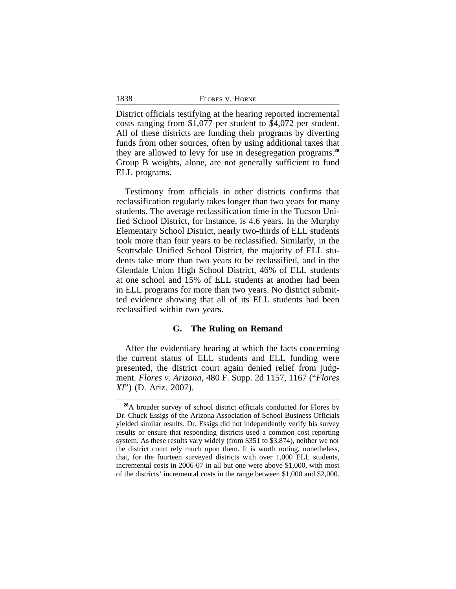| 1838 | FLORES V. HORNE |
|------|-----------------|
|      |                 |

District officials testifying at the hearing reported incremental costs ranging from \$1,077 per student to \$4,072 per student. All of these districts are funding their programs by diverting funds from other sources, often by using additional taxes that they are allowed to levy for use in desegregation programs.**<sup>28</sup>** Group B weights, alone, are not generally sufficient to fund ELL programs.

Testimony from officials in other districts confirms that reclassification regularly takes longer than two years for many students. The average reclassification time in the Tucson Unified School District, for instance, is 4.6 years. In the Murphy Elementary School District, nearly two-thirds of ELL students took more than four years to be reclassified. Similarly, in the Scottsdale Unified School District, the majority of ELL students take more than two years to be reclassified, and in the Glendale Union High School District, 46% of ELL students at one school and 15% of ELL students at another had been in ELL programs for more than two years. No district submitted evidence showing that all of its ELL students had been reclassified within two years.

#### **G. The Ruling on Remand**

After the evidentiary hearing at which the facts concerning the current status of ELL students and ELL funding were presented, the district court again denied relief from judgment. *Flores v. Arizona*, 480 F. Supp. 2d 1157, 1167 ("*Flores XI*") (D. Ariz. 2007).

**<sup>28</sup>**A broader survey of school district officials conducted for Flores by Dr. Chuck Essigs of the Arizona Association of School Business Officials yielded similar results. Dr. Essigs did not independently verify his survey results or ensure that responding districts used a common cost reporting system. As these results vary widely (from \$351 to \$3,874), neither we nor the district court rely much upon them. It is worth noting, nonetheless, that, for the fourteen surveyed districts with over 1,000 ELL students, incremental costs in 2006-07 in all but one were above \$1,000, with most of the districts' incremental costs in the range between \$1,000 and \$2,000.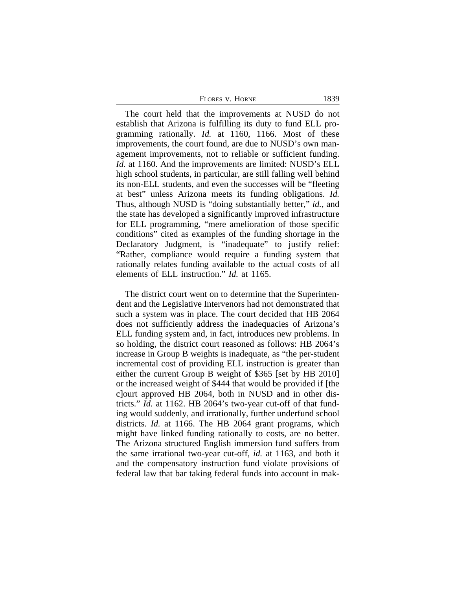| FLORES V. HORNE | 1839 |
|-----------------|------|
|-----------------|------|

The court held that the improvements at NUSD do not establish that Arizona is fulfilling its duty to fund ELL programming rationally. *Id.* at 1160, 1166. Most of these improvements, the court found, are due to NUSD's own management improvements, not to reliable or sufficient funding. *Id.* at 1160. And the improvements are limited: NUSD's ELL high school students, in particular, are still falling well behind its non-ELL students, and even the successes will be "fleeting at best" unless Arizona meets its funding obligations. *Id.* Thus, although NUSD is "doing substantially better," *id.*, and the state has developed a significantly improved infrastructure for ELL programming, "mere amelioration of those specific conditions" cited as examples of the funding shortage in the Declaratory Judgment, is "inadequate" to justify relief: "Rather, compliance would require a funding system that rationally relates funding available to the actual costs of all elements of ELL instruction." *Id.* at 1165.

The district court went on to determine that the Superintendent and the Legislative Intervenors had not demonstrated that such a system was in place. The court decided that HB 2064 does not sufficiently address the inadequacies of Arizona's ELL funding system and, in fact, introduces new problems. In so holding, the district court reasoned as follows: HB 2064's increase in Group B weights is inadequate, as "the per-student incremental cost of providing ELL instruction is greater than either the current Group B weight of \$365 [set by HB 2010] or the increased weight of \$444 that would be provided if [the c]ourt approved HB 2064, both in NUSD and in other districts." *Id.* at 1162. HB 2064's two-year cut-off of that funding would suddenly, and irrationally, further underfund school districts. *Id.* at 1166. The HB 2064 grant programs, which might have linked funding rationally to costs, are no better. The Arizona structured English immersion fund suffers from the same irrational two-year cut-off, *id.* at 1163, and both it and the compensatory instruction fund violate provisions of federal law that bar taking federal funds into account in mak-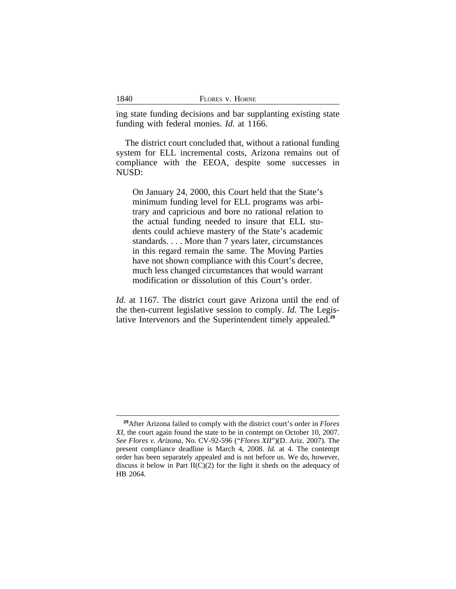| 1840 | FLORES V. HORNE |
|------|-----------------|
|      |                 |

ing state funding decisions and bar supplanting existing state funding with federal monies. *Id.* at 1166.

The district court concluded that, without a rational funding system for ELL incremental costs, Arizona remains out of compliance with the EEOA, despite some successes in NUSD:

On January 24, 2000, this Court held that the State's minimum funding level for ELL programs was arbitrary and capricious and bore no rational relation to the actual funding needed to insure that ELL students could achieve mastery of the State's academic standards. . . . More than 7 years later, circumstances in this regard remain the same. The Moving Parties have not shown compliance with this Court's decree, much less changed circumstances that would warrant modification or dissolution of this Court's order.

*Id.* at 1167. The district court gave Arizona until the end of the then-current legislative session to comply. *Id.* The Legislative Intervenors and the Superintendent timely appealed.**<sup>29</sup>**

**<sup>29</sup>**After Arizona failed to comply with the district court's order in *Flores XI*, the court again found the state to be in contempt on October 10, 2007. *See Flores v. Arizona*, No. CV-92-596 ("*Flores XII*")(D. Ariz. 2007). The present compliance deadline is March 4, 2008. *Id.* at 4. The contempt order has been separately appealed and is not before us. We do, however, discuss it below in Part  $II(C)(2)$  for the light it sheds on the adequacy of HB 2064.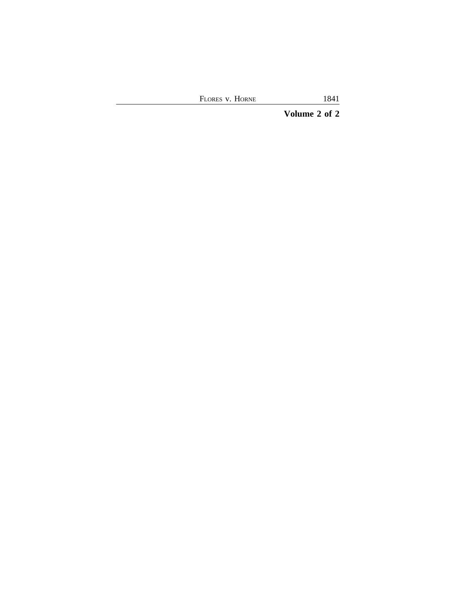FLORES V. HORNE 1841

**Volume 2 of 2**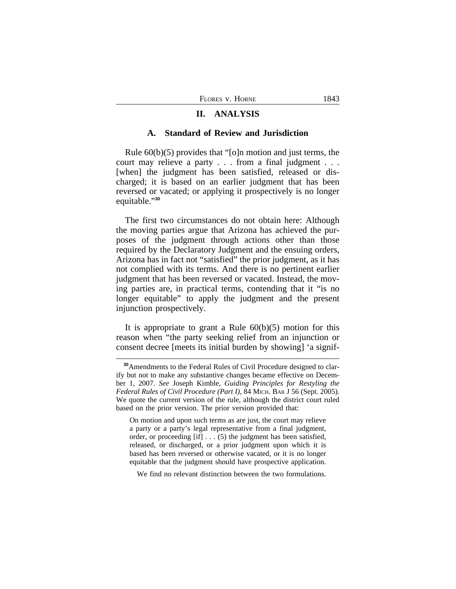# **II. ANALYSIS**

#### **A. Standard of Review and Jurisdiction**

Rule 60(b)(5) provides that "[o]n motion and just terms, the court may relieve a party . . . from a final judgment . . . [when] the judgment has been satisfied, released or discharged; it is based on an earlier judgment that has been reversed or vacated; or applying it prospectively is no longer equitable." **30**

The first two circumstances do not obtain here: Although the moving parties argue that Arizona has achieved the purposes of the judgment through actions other than those required by the Declaratory Judgment and the ensuing orders, Arizona has in fact not "satisfied" the prior judgment, as it has not complied with its terms. And there is no pertinent earlier judgment that has been reversed or vacated. Instead, the moving parties are, in practical terms, contending that it "is no longer equitable" to apply the judgment and the present injunction prospectively.

It is appropriate to grant a Rule  $60(b)(5)$  motion for this reason when "the party seeking relief from an injunction or consent decree [meets its initial burden by showing] 'a signif-

On motion and upon such terms as are just, the court may relieve a party or a party's legal representative from a final judgment, order, or proceeding [if] . . . (5) the judgment has been satisfied, released, or discharged, or a prior judgment upon which it is based has been reversed or otherwise vacated, or it is no longer equitable that the judgment should have prospective application.

We find no relevant distinction between the two formulations.

**<sup>30</sup>**Amendments to the Federal Rules of Civil Procedure designed to clarify but not to make any substantive changes became effective on December 1, 2007. *See* Joseph Kimble, *Guiding Principles for Restyling the Federal Rules of Civil Procedure (Part I)*, 84 MICH. BAR J 56 (Sept. 2005). We quote the current version of the rule, although the district court ruled based on the prior version. The prior version provided that: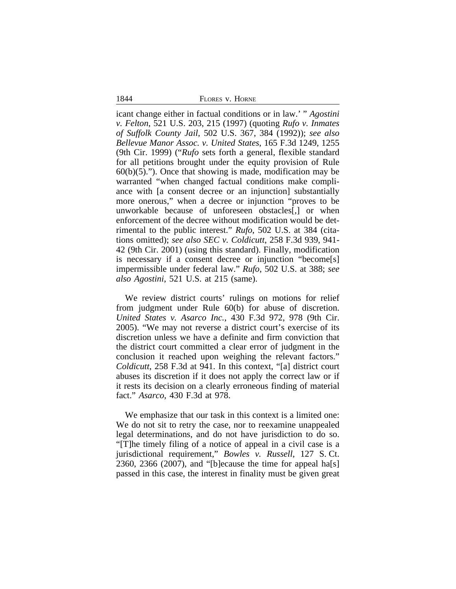1844 FLORES v. HORNE

icant change either in factual conditions or in law.' " *Agostini v. Felton*, 521 U.S. 203, 215 (1997) (quoting *Rufo v. Inmates of Suffolk County Jail*, 502 U.S. 367, 384 (1992)); *see also Bellevue Manor Assoc. v. United States*, 165 F.3d 1249, 1255 (9th Cir. 1999) ("*Rufo* sets forth a general, flexible standard for all petitions brought under the equity provision of Rule  $60(b)(5)$ ."). Once that showing is made, modification may be warranted "when changed factual conditions make compliance with [a consent decree or an injunction] substantially more onerous," when a decree or injunction "proves to be unworkable because of unforeseen obstacles[,] or when enforcement of the decree without modification would be detrimental to the public interest." *Rufo*, 502 U.S. at 384 (citations omitted); *see also SEC v. Coldicutt*, 258 F.3d 939, 941- 42 (9th Cir. 2001) (using this standard). Finally, modification is necessary if a consent decree or injunction "become[s] impermissible under federal law." *Rufo*, 502 U.S. at 388; *see also Agostini*, 521 U.S. at 215 (same).

We review district courts' rulings on motions for relief from judgment under Rule 60(b) for abuse of discretion. *United States v. Asarco Inc.*, 430 F.3d 972, 978 (9th Cir. 2005). "We may not reverse a district court's exercise of its discretion unless we have a definite and firm conviction that the district court committed a clear error of judgment in the conclusion it reached upon weighing the relevant factors." *Coldicutt*, 258 F.3d at 941. In this context, "[a] district court abuses its discretion if it does not apply the correct law or if it rests its decision on a clearly erroneous finding of material fact." *Asarco*, 430 F.3d at 978.

We emphasize that our task in this context is a limited one: We do not sit to retry the case, nor to reexamine unappealed legal determinations, and do not have jurisdiction to do so. "[T]he timely filing of a notice of appeal in a civil case is a jurisdictional requirement," *Bowles v. Russell*, 127 S. Ct. 2360, 2366 (2007), and "[b]ecause the time for appeal ha[s] passed in this case, the interest in finality must be given great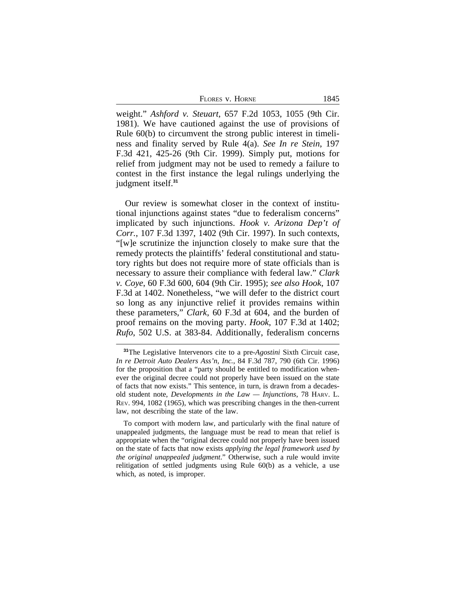FLORES V. HORNE 1845

weight." *Ashford v. Steuart*, 657 F.2d 1053, 1055 (9th Cir. 1981). We have cautioned against the use of provisions of Rule 60(b) to circumvent the strong public interest in timeliness and finality served by Rule 4(a). *See In re Stein*, 197 F.3d 421, 425-26 (9th Cir. 1999). Simply put, motions for relief from judgment may not be used to remedy a failure to contest in the first instance the legal rulings underlying the judgment itself.**<sup>31</sup>**

Our review is somewhat closer in the context of institutional injunctions against states "due to federalism concerns" implicated by such injunctions. *Hook v. Arizona Dep't of Corr.*, 107 F.3d 1397, 1402 (9th Cir. 1997). In such contexts, "[w]e scrutinize the injunction closely to make sure that the remedy protects the plaintiffs' federal constitutional and statutory rights but does not require more of state officials than is necessary to assure their compliance with federal law." *Clark v. Coye*, 60 F.3d 600, 604 (9th Cir. 1995); *see also Hook*, 107 F.3d at 1402. Nonetheless, "we will defer to the district court so long as any injunctive relief it provides remains within these parameters," *Clark*, 60 F.3d at 604, and the burden of proof remains on the moving party. *Hook*, 107 F.3d at 1402; *Rufo*, 502 U.S. at 383-84. Additionally, federalism concerns

**<sup>31</sup>**The Legislative Intervenors cite to a pre-*Agostini* Sixth Circuit case, *In re Detroit Auto Dealers Ass'n, Inc.*, 84 F.3d 787, 790 (6th Cir. 1996) for the proposition that a "party should be entitled to modification whenever the original decree could not properly have been issued on the state of facts that now exists." This sentence, in turn, is drawn from a decadesold student note, *Developments in the Law — Injunctions*, 78 HARV. L. REV. 994, 1082 (1965), which was prescribing changes in the then-current law, not describing the state of the law.

To comport with modern law, and particularly with the final nature of unappealed judgments, the language must be read to mean that relief is appropriate when the "original decree could not properly have been issued on the state of facts that now exists *applying the legal framework used by the original unappealed judgment*." Otherwise, such a rule would invite relitigation of settled judgments using Rule 60(b) as a vehicle, a use which, as noted, is improper.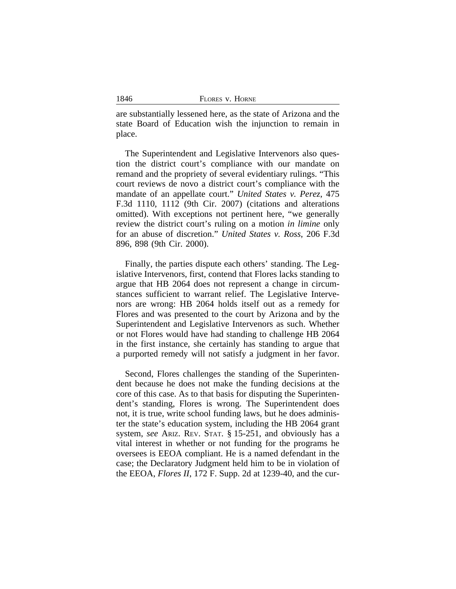| 1846 | FLORES V. HORNE |
|------|-----------------|
|      |                 |

are substantially lessened here, as the state of Arizona and the state Board of Education wish the injunction to remain in place.

The Superintendent and Legislative Intervenors also question the district court's compliance with our mandate on remand and the propriety of several evidentiary rulings. "This court reviews de novo a district court's compliance with the mandate of an appellate court." *United States v. Perez*, 475 F.3d 1110, 1112 (9th Cir. 2007) (citations and alterations omitted). With exceptions not pertinent here, "we generally review the district court's ruling on a motion *in limine* only for an abuse of discretion." *United States v. Ross*, 206 F.3d 896, 898 (9th Cir. 2000).

Finally, the parties dispute each others' standing. The Legislative Intervenors, first, contend that Flores lacks standing to argue that HB 2064 does not represent a change in circumstances sufficient to warrant relief. The Legislative Intervenors are wrong: HB 2064 holds itself out as a remedy for Flores and was presented to the court by Arizona and by the Superintendent and Legislative Intervenors as such. Whether or not Flores would have had standing to challenge HB 2064 in the first instance, she certainly has standing to argue that a purported remedy will not satisfy a judgment in her favor.

Second, Flores challenges the standing of the Superintendent because he does not make the funding decisions at the core of this case. As to that basis for disputing the Superintendent's standing, Flores is wrong. The Superintendent does not, it is true, write school funding laws, but he does administer the state's education system, including the HB 2064 grant system, *see* ARIZ. REV. STAT. § 15-251, and obviously has a vital interest in whether or not funding for the programs he oversees is EEOA compliant. He is a named defendant in the case; the Declaratory Judgment held him to be in violation of the EEOA, *Flores II*, 172 F. Supp. 2d at 1239-40, and the cur-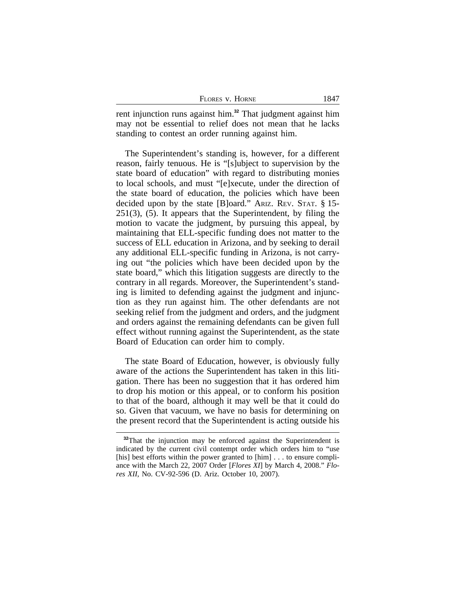| FLORES V. HORNE | $184^{\circ}$ |
|-----------------|---------------|
|-----------------|---------------|

rent injunction runs against him.**<sup>32</sup>** That judgment against him may not be essential to relief does not mean that he lacks standing to contest an order running against him.

The Superintendent's standing is, however, for a different reason, fairly tenuous. He is "[s]ubject to supervision by the state board of education" with regard to distributing monies to local schools, and must "[e]xecute, under the direction of the state board of education, the policies which have been decided upon by the state [B]oard." ARIZ. REV. STAT. § 15- 251(3), (5). It appears that the Superintendent, by filing the motion to vacate the judgment, by pursuing this appeal, by maintaining that ELL-specific funding does not matter to the success of ELL education in Arizona, and by seeking to derail any additional ELL-specific funding in Arizona, is not carrying out "the policies which have been decided upon by the state board," which this litigation suggests are directly to the contrary in all regards. Moreover, the Superintendent's standing is limited to defending against the judgment and injunction as they run against him. The other defendants are not seeking relief from the judgment and orders, and the judgment and orders against the remaining defendants can be given full effect without running against the Superintendent, as the state Board of Education can order him to comply.

The state Board of Education, however, is obviously fully aware of the actions the Superintendent has taken in this litigation. There has been no suggestion that it has ordered him to drop his motion or this appeal, or to conform his position to that of the board, although it may well be that it could do so. Given that vacuum, we have no basis for determining on the present record that the Superintendent is acting outside his

<sup>&</sup>lt;sup>32</sup>That the injunction may be enforced against the Superintendent is indicated by the current civil contempt order which orders him to "use [his] best efforts within the power granted to  $[\text{him}]$ ... to ensure compliance with the March 22, 2007 Order [*Flores XI*] by March 4, 2008." *Flores XII*, No. CV-92-596 (D. Ariz. October 10, 2007).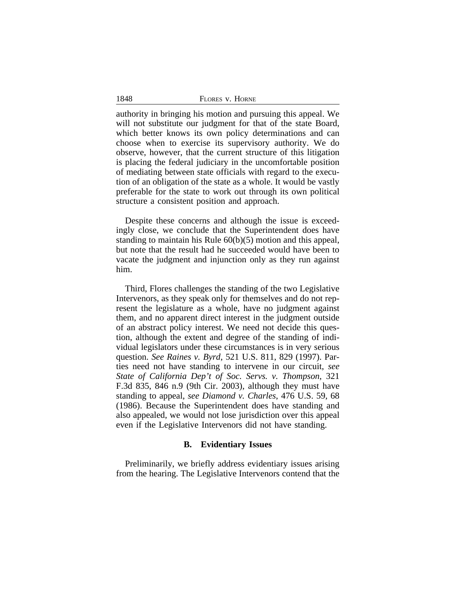authority in bringing his motion and pursuing this appeal. We will not substitute our judgment for that of the state Board, which better knows its own policy determinations and can choose when to exercise its supervisory authority. We do observe, however, that the current structure of this litigation is placing the federal judiciary in the uncomfortable position of mediating between state officials with regard to the execution of an obligation of the state as a whole. It would be vastly preferable for the state to work out through its own political structure a consistent position and approach.

Despite these concerns and although the issue is exceedingly close, we conclude that the Superintendent does have standing to maintain his Rule 60(b)(5) motion and this appeal, but note that the result had he succeeded would have been to vacate the judgment and injunction only as they run against him.

Third, Flores challenges the standing of the two Legislative Intervenors, as they speak only for themselves and do not represent the legislature as a whole, have no judgment against them, and no apparent direct interest in the judgment outside of an abstract policy interest. We need not decide this question, although the extent and degree of the standing of individual legislators under these circumstances is in very serious question. *See Raines v. Byrd*, 521 U.S. 811, 829 (1997). Parties need not have standing to intervene in our circuit, *see State of California Dep't of Soc. Servs. v. Thompson*, 321 F.3d 835, 846 n.9 (9th Cir. 2003), although they must have standing to appeal, *see Diamond v. Charles*, 476 U.S. 59, 68 (1986). Because the Superintendent does have standing and also appealed, we would not lose jurisdiction over this appeal even if the Legislative Intervenors did not have standing.

## **B. Evidentiary Issues**

Preliminarily, we briefly address evidentiary issues arising from the hearing. The Legislative Intervenors contend that the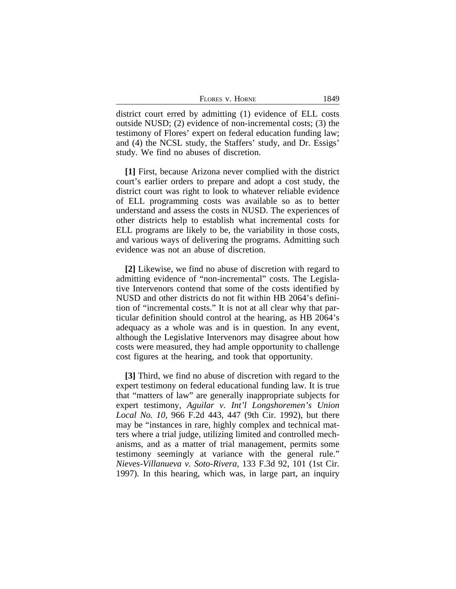| FLORES V. HORNE | 1849 |
|-----------------|------|
|-----------------|------|

district court erred by admitting (1) evidence of ELL costs outside NUSD; (2) evidence of non-incremental costs; (3) the testimony of Flores' expert on federal education funding law; and (4) the NCSL study, the Staffers' study, and Dr. Essigs' study. We find no abuses of discretion.

**[1]** First, because Arizona never complied with the district court's earlier orders to prepare and adopt a cost study, the district court was right to look to whatever reliable evidence of ELL programming costs was available so as to better understand and assess the costs in NUSD. The experiences of other districts help to establish what incremental costs for ELL programs are likely to be, the variability in those costs, and various ways of delivering the programs. Admitting such evidence was not an abuse of discretion.

**[2]** Likewise, we find no abuse of discretion with regard to admitting evidence of "non-incremental" costs. The Legislative Intervenors contend that some of the costs identified by NUSD and other districts do not fit within HB 2064's definition of "incremental costs." It is not at all clear why that particular definition should control at the hearing, as HB 2064's adequacy as a whole was and is in question. In any event, although the Legislative Intervenors may disagree about how costs were measured, they had ample opportunity to challenge cost figures at the hearing, and took that opportunity.

**[3]** Third, we find no abuse of discretion with regard to the expert testimony on federal educational funding law. It is true that "matters of law" are generally inappropriate subjects for expert testimony, *Aguilar v. Int'l Longshoremen's Union Local No. 10*, 966 F.2d 443, 447 (9th Cir. 1992), but there may be "instances in rare, highly complex and technical matters where a trial judge, utilizing limited and controlled mechanisms, and as a matter of trial management, permits some testimony seemingly at variance with the general rule." *Nieves-Villanueva v. Soto-Rivera*, 133 F.3d 92, 101 (1st Cir. 1997). In this hearing, which was, in large part, an inquiry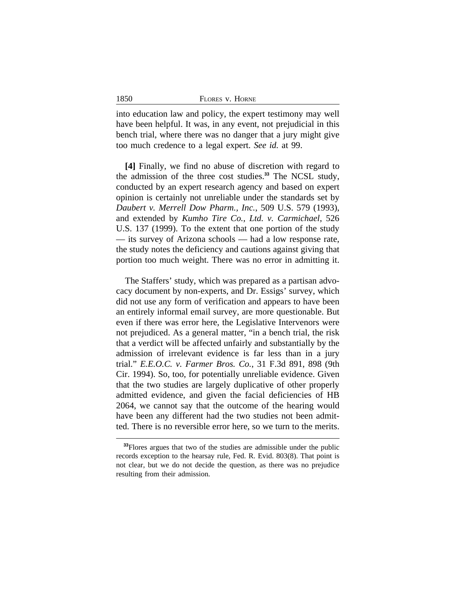| 1850<br>FLORES V. HORNE |
|-------------------------|
|-------------------------|

into education law and policy, the expert testimony may well have been helpful. It was, in any event, not prejudicial in this bench trial, where there was no danger that a jury might give too much credence to a legal expert. *See id.* at 99.

**[4]** Finally, we find no abuse of discretion with regard to the admission of the three cost studies.**<sup>33</sup>** The NCSL study, conducted by an expert research agency and based on expert opinion is certainly not unreliable under the standards set by *Daubert v. Merrell Dow Pharm., Inc.*, 509 U.S. 579 (1993), and extended by *Kumho Tire Co., Ltd. v. Carmichael*, 526 U.S. 137 (1999). To the extent that one portion of the study — its survey of Arizona schools — had a low response rate, the study notes the deficiency and cautions against giving that portion too much weight. There was no error in admitting it.

The Staffers' study, which was prepared as a partisan advocacy document by non-experts, and Dr. Essigs' survey, which did not use any form of verification and appears to have been an entirely informal email survey, are more questionable. But even if there was error here, the Legislative Intervenors were not prejudiced. As a general matter, "in a bench trial, the risk that a verdict will be affected unfairly and substantially by the admission of irrelevant evidence is far less than in a jury trial." *E.E.O.C. v. Farmer Bros. Co.*, 31 F.3d 891, 898 (9th Cir. 1994). So, too, for potentially unreliable evidence. Given that the two studies are largely duplicative of other properly admitted evidence, and given the facial deficiencies of HB 2064, we cannot say that the outcome of the hearing would have been any different had the two studies not been admitted. There is no reversible error here, so we turn to the merits.

**<sup>33</sup>**Flores argues that two of the studies are admissible under the public records exception to the hearsay rule, Fed. R. Evid. 803(8). That point is not clear, but we do not decide the question, as there was no prejudice resulting from their admission.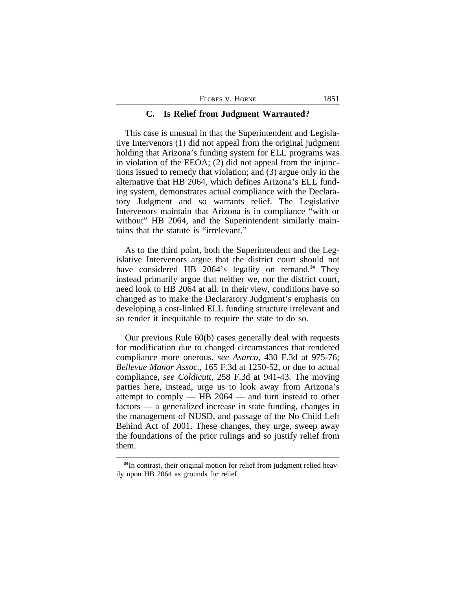| FLORES V. HORNE | 1851 |
|-----------------|------|
|-----------------|------|

#### **C. Is Relief from Judgment Warranted?**

This case is unusual in that the Superintendent and Legislative Intervenors (1) did not appeal from the original judgment holding that Arizona's funding system for ELL programs was in violation of the EEOA; (2) did not appeal from the injunctions issued to remedy that violation; and (3) argue only in the alternative that HB 2064, which defines Arizona's ELL funding system, demonstrates actual compliance with the Declaratory Judgment and so warrants relief. The Legislative Intervenors maintain that Arizona is in compliance "with or without" HB 2064, and the Superintendent similarly maintains that the statute is "irrelevant."

As to the third point, both the Superintendent and the Legislative Intervenors argue that the district court should not have considered HB 2064's legality on remand.**<sup>34</sup>** They instead primarily argue that neither we, nor the district court, need look to HB 2064 at all. In their view, conditions have so changed as to make the Declaratory Judgment's emphasis on developing a cost-linked ELL funding structure irrelevant and so render it inequitable to require the state to do so.

Our previous Rule 60(b) cases generally deal with requests for modification due to changed circumstances that rendered compliance more onerous, *see Asarco*, 430 F.3d at 975-76; *Bellevue Manor Assoc.*, 165 F.3d at 1250-52, or due to actual compliance, *see Coldicutt*, 258 F.3d at 941-43. The moving parties here, instead, urge us to look away from Arizona's attempt to comply  $-$  HB 2064  $-$  and turn instead to other factors — a generalized increase in state funding, changes in the management of NUSD, and passage of the No Child Left Behind Act of 2001. These changes, they urge, sweep away the foundations of the prior rulings and so justify relief from them.

**<sup>34</sup>**In contrast, their original motion for relief from judgment relied heavily upon HB 2064 as grounds for relief.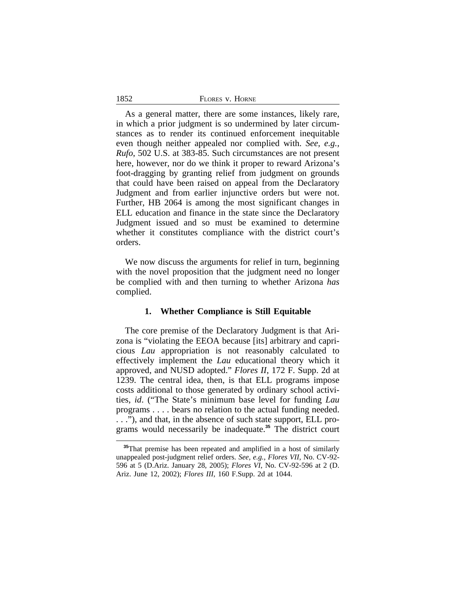As a general matter, there are some instances, likely rare, in which a prior judgment is so undermined by later circumstances as to render its continued enforcement inequitable even though neither appealed nor complied with. *See, e.g., Rufo*, 502 U.S. at 383-85. Such circumstances are not present here, however, nor do we think it proper to reward Arizona's foot-dragging by granting relief from judgment on grounds that could have been raised on appeal from the Declaratory Judgment and from earlier injunctive orders but were not. Further, HB 2064 is among the most significant changes in ELL education and finance in the state since the Declaratory Judgment issued and so must be examined to determine whether it constitutes compliance with the district court's orders.

We now discuss the arguments for relief in turn, beginning with the novel proposition that the judgment need no longer be complied with and then turning to whether Arizona *has* complied.

# **1. Whether Compliance is Still Equitable**

The core premise of the Declaratory Judgment is that Arizona is "violating the EEOA because [its] arbitrary and capricious *Lau* appropriation is not reasonably calculated to effectively implement the *Lau* educational theory which it approved, and NUSD adopted." *Flores II*, 172 F. Supp. 2d at 1239. The central idea, then, is that ELL programs impose costs additional to those generated by ordinary school activities, *id*. ("The State's minimum base level for funding *Lau* programs . . . . bears no relation to the actual funding needed. . . ."), and that, in the absence of such state support, ELL programs would necessarily be inadequate.**<sup>35</sup>** The district court

1852

<sup>&</sup>lt;sup>35</sup>That premise has been repeated and amplified in a host of similarly unappealed post-judgment relief orders. *See, e.g.*, *Flores VII*, No. CV-92- 596 at 5 (D.Ariz. January 28, 2005); *Flores VI*, No. CV-92-596 at 2 (D. Ariz. June 12, 2002); *Flores III*, 160 F.Supp. 2d at 1044.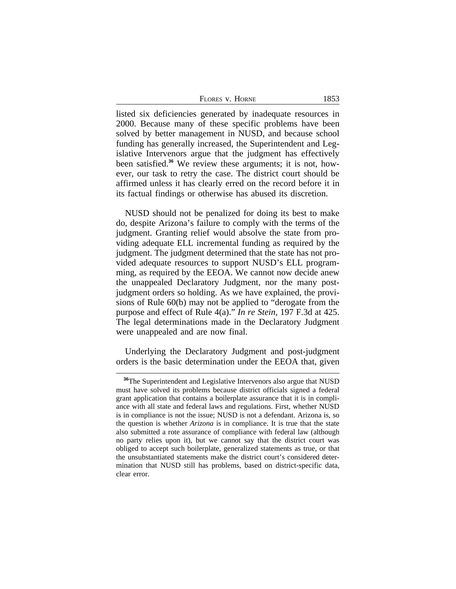| FLORES V. HORNE | 1853 |
|-----------------|------|
|-----------------|------|

listed six deficiencies generated by inadequate resources in 2000. Because many of these specific problems have been solved by better management in NUSD, and because school funding has generally increased, the Superintendent and Legislative Intervenors argue that the judgment has effectively been satisfied.**36** We review these arguments; it is not, however, our task to retry the case. The district court should be affirmed unless it has clearly erred on the record before it in its factual findings or otherwise has abused its discretion.

NUSD should not be penalized for doing its best to make do, despite Arizona's failure to comply with the terms of the judgment. Granting relief would absolve the state from providing adequate ELL incremental funding as required by the judgment. The judgment determined that the state has not provided adequate resources to support NUSD's ELL programming, as required by the EEOA. We cannot now decide anew the unappealed Declaratory Judgment, nor the many postjudgment orders so holding. As we have explained, the provisions of Rule 60(b) may not be applied to "derogate from the purpose and effect of Rule 4(a)." *In re Stein*, 197 F.3d at 425. The legal determinations made in the Declaratory Judgment were unappealed and are now final.

Underlying the Declaratory Judgment and post-judgment orders is the basic determination under the EEOA that, given

<sup>&</sup>lt;sup>36</sup>The Superintendent and Legislative Intervenors also argue that NUSD must have solved its problems because district officials signed a federal grant application that contains a boilerplate assurance that it is in compliance with all state and federal laws and regulations. First, whether NUSD is in compliance is not the issue; NUSD is not a defendant. Arizona is, so the question is whether *Arizona* is in compliance. It is true that the state also submitted a rote assurance of compliance with federal law (although no party relies upon it), but we cannot say that the district court was obliged to accept such boilerplate, generalized statements as true, or that the unsubstantiated statements make the district court's considered determination that NUSD still has problems, based on district-specific data, clear error.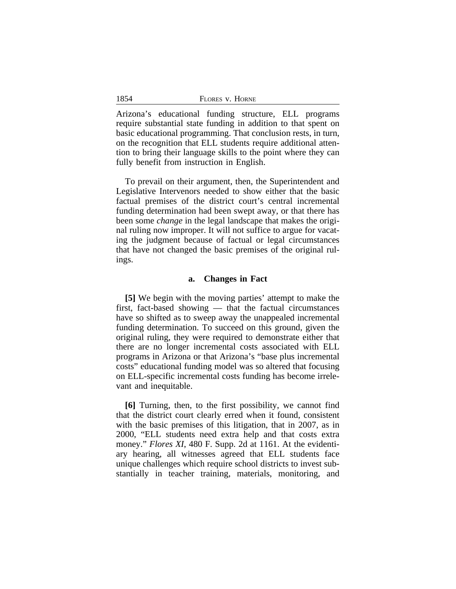Arizona's educational funding structure, ELL programs require substantial state funding in addition to that spent on basic educational programming. That conclusion rests, in turn, on the recognition that ELL students require additional attention to bring their language skills to the point where they can fully benefit from instruction in English.

To prevail on their argument, then, the Superintendent and Legislative Intervenors needed to show either that the basic factual premises of the district court's central incremental funding determination had been swept away, or that there has been some *change* in the legal landscape that makes the original ruling now improper. It will not suffice to argue for vacating the judgment because of factual or legal circumstances that have not changed the basic premises of the original rulings.

#### **a. Changes in Fact**

**[5]** We begin with the moving parties' attempt to make the first, fact-based showing — that the factual circumstances have so shifted as to sweep away the unappealed incremental funding determination. To succeed on this ground, given the original ruling, they were required to demonstrate either that there are no longer incremental costs associated with ELL programs in Arizona or that Arizona's "base plus incremental costs" educational funding model was so altered that focusing on ELL-specific incremental costs funding has become irrelevant and inequitable.

**[6]** Turning, then, to the first possibility, we cannot find that the district court clearly erred when it found, consistent with the basic premises of this litigation, that in 2007, as in 2000, "ELL students need extra help and that costs extra money." *Flores XI*, 480 F. Supp. 2d at 1161. At the evidentiary hearing, all witnesses agreed that ELL students face unique challenges which require school districts to invest substantially in teacher training, materials, monitoring, and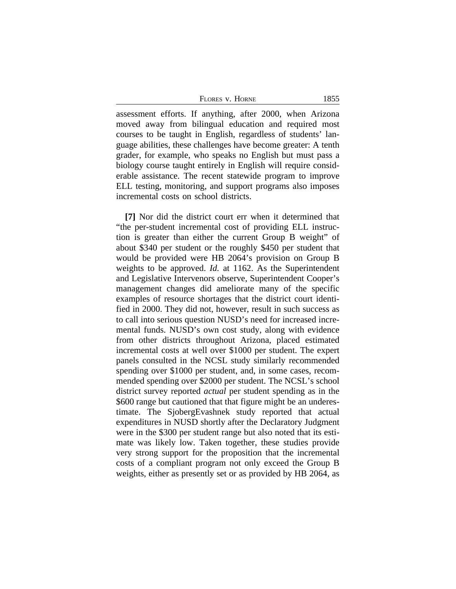FLORES V. HORNE 1855

assessment efforts. If anything, after 2000, when Arizona moved away from bilingual education and required most courses to be taught in English, regardless of students' language abilities, these challenges have become greater: A tenth grader, for example, who speaks no English but must pass a biology course taught entirely in English will require considerable assistance. The recent statewide program to improve ELL testing, monitoring, and support programs also imposes incremental costs on school districts.

**[7]** Nor did the district court err when it determined that "the per-student incremental cost of providing ELL instruction is greater than either the current Group B weight" of about \$340 per student or the roughly \$450 per student that would be provided were HB 2064's provision on Group B weights to be approved. *Id.* at 1162. As the Superintendent and Legislative Intervenors observe, Superintendent Cooper's management changes did ameliorate many of the specific examples of resource shortages that the district court identified in 2000. They did not, however, result in such success as to call into serious question NUSD's need for increased incremental funds. NUSD's own cost study, along with evidence from other districts throughout Arizona, placed estimated incremental costs at well over \$1000 per student. The expert panels consulted in the NCSL study similarly recommended spending over \$1000 per student, and, in some cases, recommended spending over \$2000 per student. The NCSL's school district survey reported *actual* per student spending as in the \$600 range but cautioned that that figure might be an underestimate. The SjobergEvashnek study reported that actual expenditures in NUSD shortly after the Declaratory Judgment were in the \$300 per student range but also noted that its estimate was likely low. Taken together, these studies provide very strong support for the proposition that the incremental costs of a compliant program not only exceed the Group B weights, either as presently set or as provided by HB 2064, as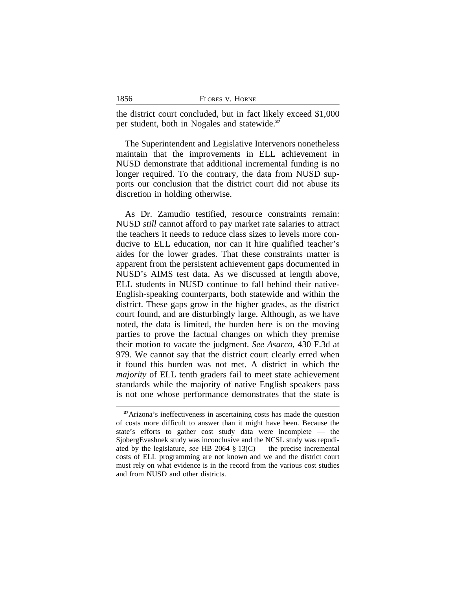| 1856 | FLORES V. HORNE |
|------|-----------------|
|      |                 |

the district court concluded, but in fact likely exceed \$1,000 per student, both in Nogales and statewide.**<sup>37</sup>**

The Superintendent and Legislative Intervenors nonetheless maintain that the improvements in ELL achievement in NUSD demonstrate that additional incremental funding is no longer required. To the contrary, the data from NUSD supports our conclusion that the district court did not abuse its discretion in holding otherwise.

As Dr. Zamudio testified, resource constraints remain: NUSD *still* cannot afford to pay market rate salaries to attract the teachers it needs to reduce class sizes to levels more conducive to ELL education, nor can it hire qualified teacher's aides for the lower grades. That these constraints matter is apparent from the persistent achievement gaps documented in NUSD's AIMS test data. As we discussed at length above, ELL students in NUSD continue to fall behind their native-English-speaking counterparts, both statewide and within the district. These gaps grow in the higher grades, as the district court found, and are disturbingly large. Although, as we have noted, the data is limited, the burden here is on the moving parties to prove the factual changes on which they premise their motion to vacate the judgment. *See Asarco*, 430 F.3d at 979. We cannot say that the district court clearly erred when it found this burden was not met. A district in which the *majority* of ELL tenth graders fail to meet state achievement standards while the majority of native English speakers pass is not one whose performance demonstrates that the state is

**<sup>37</sup>**Arizona's ineffectiveness in ascertaining costs has made the question of costs more difficult to answer than it might have been. Because the state's efforts to gather cost study data were incomplete — the SjobergEvashnek study was inconclusive and the NCSL study was repudiated by the legislature, *see* HB 2064 § 13(C) — the precise incremental costs of ELL programming are not known and we and the district court must rely on what evidence is in the record from the various cost studies and from NUSD and other districts.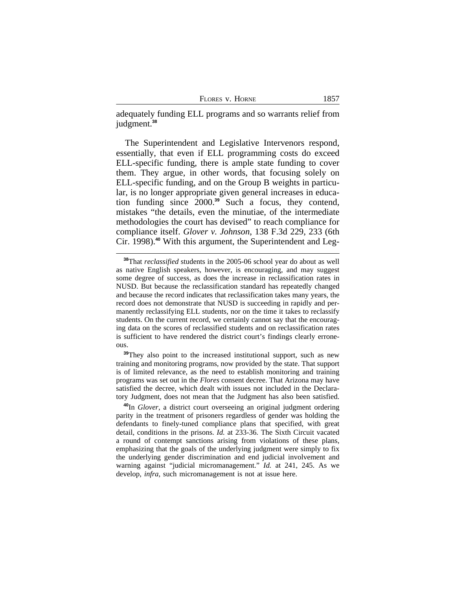| Flores v. Horne |  |  | 1857 |
|-----------------|--|--|------|
|-----------------|--|--|------|

adequately funding ELL programs and so warrants relief from judgment.**<sup>38</sup>**

The Superintendent and Legislative Intervenors respond, essentially, that even if ELL programming costs do exceed ELL-specific funding, there is ample state funding to cover them. They argue, in other words, that focusing solely on ELL-specific funding, and on the Group B weights in particular, is no longer appropriate given general increases in education funding since 2000.**<sup>39</sup>** Such a focus, they contend, mistakes "the details, even the minutiae, of the intermediate methodologies the court has devised" to reach compliance for compliance itself. *Glover v. Johnson*, 138 F.3d 229, 233 (6th Cir. 1998).**40** With this argument, the Superintendent and Leg-

**<sup>39</sup>**They also point to the increased institutional support, such as new training and monitoring programs, now provided by the state. That support is of limited relevance, as the need to establish monitoring and training programs was set out in the *Flores* consent decree. That Arizona may have satisfied the decree, which dealt with issues not included in the Declaratory Judgment, does not mean that the Judgment has also been satisfied.

**<sup>40</sup>**In *Glover*, a district court overseeing an original judgment ordering parity in the treatment of prisoners regardless of gender was holding the defendants to finely-tuned compliance plans that specified, with great detail, conditions in the prisons. *Id.* at 233-36. The Sixth Circuit vacated a round of contempt sanctions arising from violations of these plans, emphasizing that the goals of the underlying judgment were simply to fix the underlying gender discrimination and end judicial involvement and warning against "judicial micromanagement." *Id.* at 241, 245. As we develop, *infra*, such micromanagement is not at issue here.

**<sup>38</sup>**That *reclassified* students in the 2005-06 school year do about as well as native English speakers, however, is encouraging, and may suggest some degree of success, as does the increase in reclassification rates in NUSD. But because the reclassification standard has repeatedly changed and because the record indicates that reclassification takes many years, the record does not demonstrate that NUSD is succeeding in rapidly and permanently reclassifying ELL students, nor on the time it takes to reclassify students. On the current record, we certainly cannot say that the encouraging data on the scores of reclassified students and on reclassification rates is sufficient to have rendered the district court's findings clearly erroneous.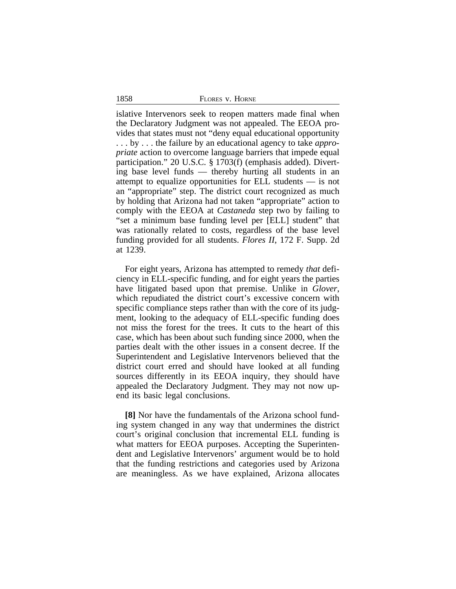1858 FLORES v. HORNE

islative Intervenors seek to reopen matters made final when the Declaratory Judgment was not appealed. The EEOA provides that states must not "deny equal educational opportunity . . . by . . . the failure by an educational agency to take *appropriate* action to overcome language barriers that impede equal participation." 20 U.S.C. § 1703(f) (emphasis added). Diverting base level funds — thereby hurting all students in an attempt to equalize opportunities for ELL students — is not an "appropriate" step. The district court recognized as much by holding that Arizona had not taken "appropriate" action to comply with the EEOA at *Castaneda* step two by failing to "set a minimum base funding level per [ELL] student" that was rationally related to costs, regardless of the base level funding provided for all students. *Flores II*, 172 F. Supp. 2d at 1239.

For eight years, Arizona has attempted to remedy *that* deficiency in ELL-specific funding, and for eight years the parties have litigated based upon that premise. Unlike in *Glover*, which repudiated the district court's excessive concern with specific compliance steps rather than with the core of its judgment, looking to the adequacy of ELL-specific funding does not miss the forest for the trees. It cuts to the heart of this case, which has been about such funding since 2000, when the parties dealt with the other issues in a consent decree. If the Superintendent and Legislative Intervenors believed that the district court erred and should have looked at all funding sources differently in its EEOA inquiry, they should have appealed the Declaratory Judgment. They may not now upend its basic legal conclusions.

**[8]** Nor have the fundamentals of the Arizona school funding system changed in any way that undermines the district court's original conclusion that incremental ELL funding is what matters for EEOA purposes. Accepting the Superintendent and Legislative Intervenors' argument would be to hold that the funding restrictions and categories used by Arizona are meaningless. As we have explained, Arizona allocates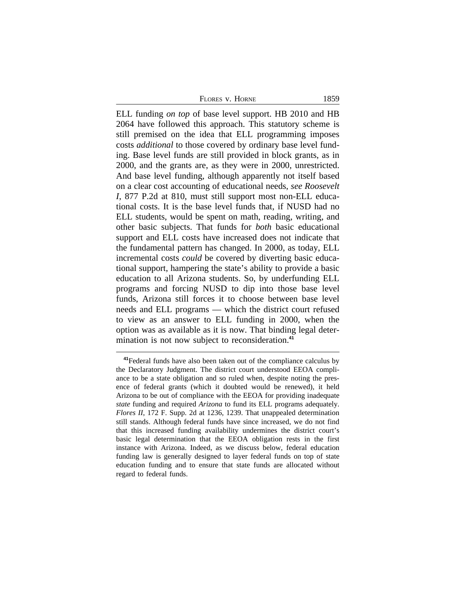FLORES V. HORNE 1859

ELL funding *on top* of base level support. HB 2010 and HB 2064 have followed this approach. This statutory scheme is still premised on the idea that ELL programming imposes costs *additional* to those covered by ordinary base level funding. Base level funds are still provided in block grants, as in 2000, and the grants are, as they were in 2000, unrestricted. And base level funding, although apparently not itself based on a clear cost accounting of educational needs, *see Roosevelt I*, 877 P.2d at 810, must still support most non-ELL educational costs. It is the base level funds that, if NUSD had no ELL students, would be spent on math, reading, writing, and other basic subjects. That funds for *both* basic educational support and ELL costs have increased does not indicate that the fundamental pattern has changed. In 2000, as today, ELL incremental costs *could* be covered by diverting basic educational support, hampering the state's ability to provide a basic education to all Arizona students. So, by underfunding ELL programs and forcing NUSD to dip into those base level funds, Arizona still forces it to choose between base level needs and ELL programs — which the district court refused to view as an answer to ELL funding in 2000, when the option was as available as it is now. That binding legal determination is not now subject to reconsideration.**<sup>41</sup>**

**<sup>41</sup>**Federal funds have also been taken out of the compliance calculus by the Declaratory Judgment. The district court understood EEOA compliance to be a state obligation and so ruled when, despite noting the presence of federal grants (which it doubted would be renewed), it held Arizona to be out of compliance with the EEOA for providing inadequate *state* funding and required *Arizona* to fund its ELL programs adequately. *Flores II*, 172 F. Supp. 2d at 1236, 1239. That unappealed determination still stands. Although federal funds have since increased, we do not find that this increased funding availability undermines the district court's basic legal determination that the EEOA obligation rests in the first instance with Arizona. Indeed, as we discuss below, federal education funding law is generally designed to layer federal funds on top of state education funding and to ensure that state funds are allocated without regard to federal funds.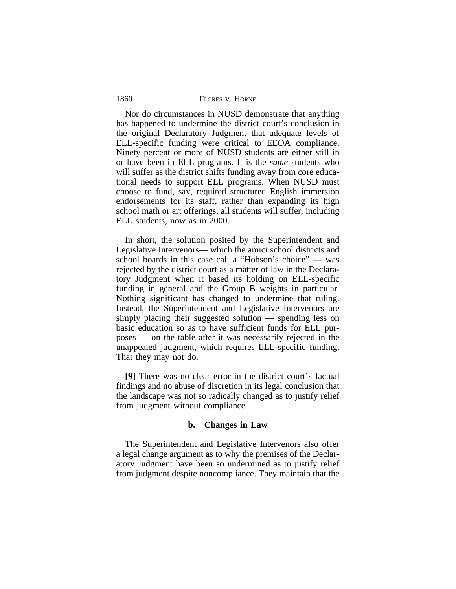| 1860 | FLORES V. HORNE |
|------|-----------------|
|      |                 |

Nor do circumstances in NUSD demonstrate that anything has happened to undermine the district court's conclusion in the original Declaratory Judgment that adequate levels of ELL-specific funding were critical to EEOA compliance. Ninety percent or more of NUSD students are either still in or have been in ELL programs. It is the *same* students who will suffer as the district shifts funding away from core educational needs to support ELL programs. When NUSD must choose to fund, say, required structured English immersion endorsements for its staff, rather than expanding its high school math or art offerings, all students will suffer, including ELL students, now as in 2000.

In short, the solution posited by the Superintendent and Legislative Intervenors— which the amici school districts and school boards in this case call a "Hobson's choice" — was rejected by the district court as a matter of law in the Declaratory Judgment when it based its holding on ELL-specific funding in general and the Group B weights in particular. Nothing significant has changed to undermine that ruling. Instead, the Superintendent and Legislative Intervenors are simply placing their suggested solution — spending less on basic education so as to have sufficient funds for ELL purposes — on the table after it was necessarily rejected in the unappealed judgment, which requires ELL-specific funding. That they may not do.

**[9]** There was no clear error in the district court's factual findings and no abuse of discretion in its legal conclusion that the landscape was not so radically changed as to justify relief from judgment without compliance.

## **b. Changes in Law**

The Superintendent and Legislative Intervenors also offer a legal change argument as to why the premises of the Declaratory Judgment have been so undermined as to justify relief from judgment despite noncompliance. They maintain that the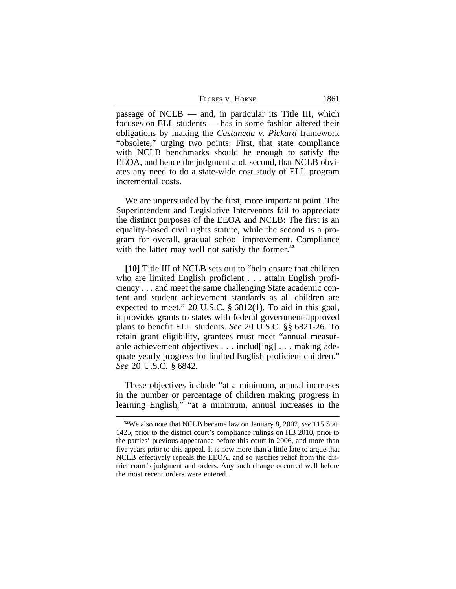FLORES V. HORNE 1861

passage of  $NCLB$  — and, in particular its Title III, which focuses on ELL students — has in some fashion altered their obligations by making the *Castaneda v. Pickard* framework "obsolete," urging two points: First, that state compliance with NCLB benchmarks should be enough to satisfy the EEOA, and hence the judgment and, second, that NCLB obviates any need to do a state-wide cost study of ELL program incremental costs.

We are unpersuaded by the first, more important point. The Superintendent and Legislative Intervenors fail to appreciate the distinct purposes of the EEOA and NCLB: The first is an equality-based civil rights statute, while the second is a program for overall, gradual school improvement. Compliance with the latter may well not satisfy the former.<sup>42</sup>

**[10]** Title III of NCLB sets out to "help ensure that children who are limited English proficient . . . attain English proficiency . . . and meet the same challenging State academic content and student achievement standards as all children are expected to meet." 20 U.S.C. § 6812(1). To aid in this goal, it provides grants to states with federal government-approved plans to benefit ELL students. *See* 20 U.S.C. §§ 6821-26. To retain grant eligibility, grantees must meet "annual measurable achievement objectives . . . includ[ing] . . . making adequate yearly progress for limited English proficient children." *See* 20 U.S.C. § 6842.

These objectives include "at a minimum, annual increases in the number or percentage of children making progress in learning English," "at a minimum, annual increases in the

**<sup>42</sup>**We also note that NCLB became law on January 8, 2002, *see* 115 Stat. 1425, prior to the district court's compliance rulings on HB 2010, prior to the parties' previous appearance before this court in 2006, and more than five years prior to this appeal. It is now more than a little late to argue that NCLB effectively repeals the EEOA, and so justifies relief from the district court's judgment and orders. Any such change occurred well before the most recent orders were entered.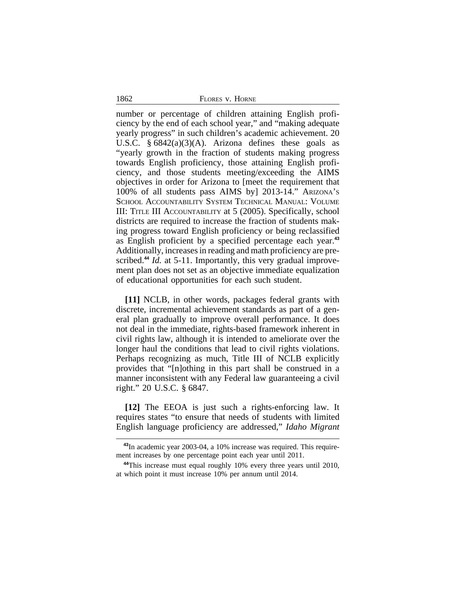1862 FLORES v. HORNE

number or percentage of children attaining English proficiency by the end of each school year," and "making adequate yearly progress" in such children's academic achievement. 20 U.S.C.  $§ 6842(a)(3)(A)$ . Arizona defines these goals as "yearly growth in the fraction of students making progress towards English proficiency, those attaining English proficiency, and those students meeting/exceeding the AIMS objectives in order for Arizona to [meet the requirement that 100% of all students pass AIMS by] 2013-14." ARIZONA'S SCHOOL ACCOUNTABILITY SYSTEM TECHNICAL MANUAL: VOLUME III: TITLE III ACCOUNTABILITY at 5 (2005). Specifically, school districts are required to increase the fraction of students making progress toward English proficiency or being reclassified as English proficient by a specified percentage each year.**<sup>43</sup>** Additionally, increases in reading and math proficiency are prescribed.<sup>44</sup> *Id.* at 5-11. Importantly, this very gradual improvement plan does not set as an objective immediate equalization of educational opportunities for each such student.

**[11]** NCLB, in other words, packages federal grants with discrete, incremental achievement standards as part of a general plan gradually to improve overall performance. It does not deal in the immediate, rights-based framework inherent in civil rights law, although it is intended to ameliorate over the longer haul the conditions that lead to civil rights violations. Perhaps recognizing as much, Title III of NCLB explicitly provides that "[n]othing in this part shall be construed in a manner inconsistent with any Federal law guaranteeing a civil right." 20 U.S.C. § 6847.

**[12]** The EEOA is just such a rights-enforcing law. It requires states "to ensure that needs of students with limited English language proficiency are addressed," *Idaho Migrant*

**<sup>43</sup>**In academic year 2003-04, a 10% increase was required. This requirement increases by one percentage point each year until 2011.

**<sup>44</sup>**This increase must equal roughly 10% every three years until 2010, at which point it must increase 10% per annum until 2014.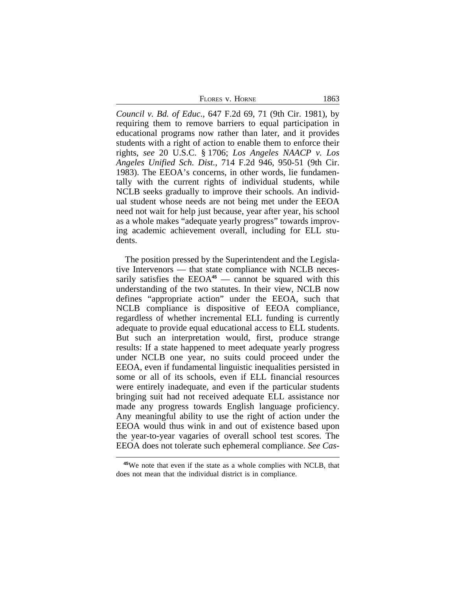FLORES V. HORNE 1863

*Council v. Bd. of Educ.*, 647 F.2d 69, 71 (9th Cir. 1981), by requiring them to remove barriers to equal participation in educational programs now rather than later, and it provides students with a right of action to enable them to enforce their rights, *see* 20 U.S.C. § 1706; *Los Angeles NAACP v. Los Angeles Unified Sch. Dist.*, 714 F.2d 946, 950-51 (9th Cir. 1983). The EEOA's concerns, in other words, lie fundamentally with the current rights of individual students, while NCLB seeks gradually to improve their schools. An individual student whose needs are not being met under the EEOA need not wait for help just because, year after year, his school as a whole makes "adequate yearly progress" towards improving academic achievement overall, including for ELL students.

The position pressed by the Superintendent and the Legislative Intervenors — that state compliance with NCLB necessarily satisfies the EEOA<sup>45</sup> — cannot be squared with this understanding of the two statutes. In their view, NCLB now defines "appropriate action" under the EEOA, such that NCLB compliance is dispositive of EEOA compliance, regardless of whether incremental ELL funding is currently adequate to provide equal educational access to ELL students. But such an interpretation would, first, produce strange results: If a state happened to meet adequate yearly progress under NCLB one year, no suits could proceed under the EEOA, even if fundamental linguistic inequalities persisted in some or all of its schools, even if ELL financial resources were entirely inadequate, and even if the particular students bringing suit had not received adequate ELL assistance nor made any progress towards English language proficiency. Any meaningful ability to use the right of action under the EEOA would thus wink in and out of existence based upon the year-to-year vagaries of overall school test scores. The EEOA does not tolerate such ephemeral compliance. *See Cas-*

**<sup>45</sup>**We note that even if the state as a whole complies with NCLB, that does not mean that the individual district is in compliance.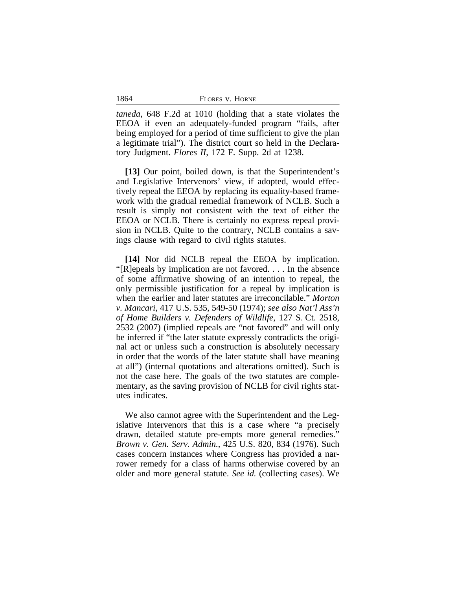| FLORES V. HORNE |  |
|-----------------|--|
|-----------------|--|

*taneda*, 648 F.2d at 1010 (holding that a state violates the EEOA if even an adequately-funded program "fails, after being employed for a period of time sufficient to give the plan a legitimate trial"). The district court so held in the Declaratory Judgment. *Flores II*, 172 F. Supp. 2d at 1238.

1864

**[13]** Our point, boiled down, is that the Superintendent's and Legislative Intervenors' view, if adopted, would effectively repeal the EEOA by replacing its equality-based framework with the gradual remedial framework of NCLB. Such a result is simply not consistent with the text of either the EEOA or NCLB. There is certainly no express repeal provision in NCLB. Quite to the contrary, NCLB contains a savings clause with regard to civil rights statutes.

**[14]** Nor did NCLB repeal the EEOA by implication. "[R]epeals by implication are not favored. . . . In the absence of some affirmative showing of an intention to repeal, the only permissible justification for a repeal by implication is when the earlier and later statutes are irreconcilable." *Morton v. Mancari*, 417 U.S. 535, 549-50 (1974); *see also Nat'l Ass'n of Home Builders v. Defenders of Wildlife*, 127 S. Ct. 2518, 2532 (2007) (implied repeals are "not favored" and will only be inferred if "the later statute expressly contradicts the original act or unless such a construction is absolutely necessary in order that the words of the later statute shall have meaning at all") (internal quotations and alterations omitted). Such is not the case here. The goals of the two statutes are complementary, as the saving provision of NCLB for civil rights statutes indicates.

We also cannot agree with the Superintendent and the Legislative Intervenors that this is a case where "a precisely drawn, detailed statute pre-empts more general remedies." *Brown v. Gen. Serv. Admin.*, 425 U.S. 820, 834 (1976). Such cases concern instances where Congress has provided a narrower remedy for a class of harms otherwise covered by an older and more general statute. *See id.* (collecting cases). We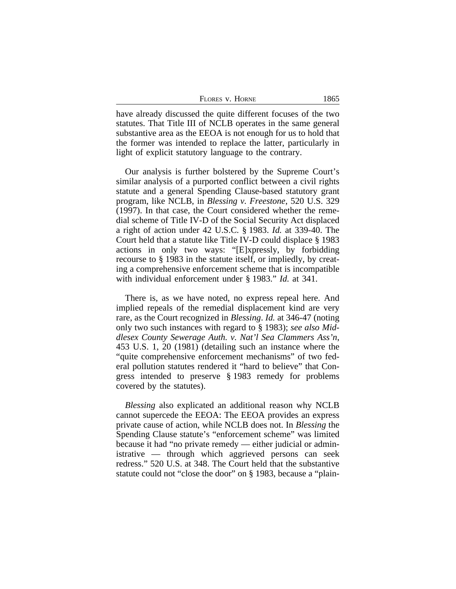| FLORES V. HORNE | 1865 |
|-----------------|------|
|                 |      |

have already discussed the quite different focuses of the two statutes. That Title III of NCLB operates in the same general substantive area as the EEOA is not enough for us to hold that the former was intended to replace the latter, particularly in light of explicit statutory language to the contrary.

Our analysis is further bolstered by the Supreme Court's similar analysis of a purported conflict between a civil rights statute and a general Spending Clause-based statutory grant program, like NCLB, in *Blessing v. Freestone*, 520 U.S. 329 (1997). In that case, the Court considered whether the remedial scheme of Title IV-D of the Social Security Act displaced a right of action under 42 U.S.C. § 1983. *Id.* at 339-40. The Court held that a statute like Title IV-D could displace § 1983 actions in only two ways: "[E]xpressly, by forbidding recourse to § 1983 in the statute itself, or impliedly, by creating a comprehensive enforcement scheme that is incompatible with individual enforcement under § 1983." *Id.* at 341.

There is, as we have noted, no express repeal here. And implied repeals of the remedial displacement kind are very rare, as the Court recognized in *Blessing*. *Id.* at 346-47 (noting only two such instances with regard to § 1983); *see also Middlesex County Sewerage Auth. v. Nat'l Sea Clammers Ass'n*, 453 U.S. 1, 20 (1981) (detailing such an instance where the "quite comprehensive enforcement mechanisms" of two federal pollution statutes rendered it "hard to believe" that Congress intended to preserve § 1983 remedy for problems covered by the statutes).

*Blessing* also explicated an additional reason why NCLB cannot supercede the EEOA: The EEOA provides an express private cause of action, while NCLB does not. In *Blessing* the Spending Clause statute's "enforcement scheme" was limited because it had "no private remedy — either judicial or administrative — through which aggrieved persons can seek redress." 520 U.S. at 348. The Court held that the substantive statute could not "close the door" on § 1983, because a "plain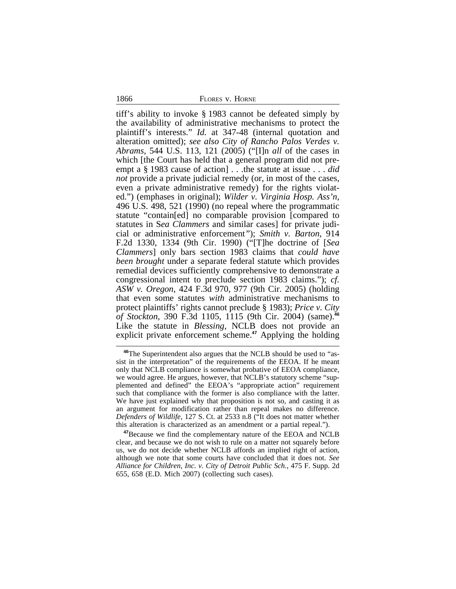1866 FLORES v. HORNE

tiff's ability to invoke § 1983 cannot be defeated simply by the availability of administrative mechanisms to protect the plaintiff's interests." *Id.* at 347-48 (internal quotation and alteration omitted); *see also City of Rancho Palos Verdes v. Abrams*, 544 U.S. 113, 121 (2005) ("[I]n *all* of the cases in which [the Court has held that a general program did not preempt a § 1983 cause of action] . . .the statute at issue . . . *did not* provide a private judicial remedy (or, in most of the cases, even a private administrative remedy) for the rights violated.") (emphases in original); *Wilder v. Virginia Hosp. Ass'n*, 496 U.S. 498, 521 (1990) (no repeal where the programmatic statute "contain[ed] no comparable provision [compared to statutes in S*ea Clammers* and similar cases] for private judicial or administrative enforcement*"*); *Smith v. Barton*, 914 F.2d 1330, 1334 (9th Cir. 1990) ("[T]he doctrine of [*Sea Clammers*] only bars section 1983 claims that *could have been brought* under a separate federal statute which provides remedial devices sufficiently comprehensive to demonstrate a congressional intent to preclude section 1983 claims."); *cf. ASW v. Oregon*, 424 F.3d 970, 977 (9th Cir. 2005) (holding that even some statutes *with* administrative mechanisms to protect plaintiffs' rights cannot preclude § 1983); *Price v. City of Stockton*, 390 F.3d 1105, 1115 (9th Cir. 2004) (same).**<sup>46</sup>** Like the statute in *Blessing*, NCLB does not provide an explicit private enforcement scheme.**<sup>47</sup>** Applying the holding

**<sup>46</sup>**The Superintendent also argues that the NCLB should be used to "assist in the interpretation" of the requirements of the EEOA. If he meant only that NCLB compliance is somewhat probative of EEOA compliance, we would agree. He argues, however, that NCLB's statutory scheme "supplemented and defined" the EEOA's "appropriate action" requirement such that compliance with the former is also compliance with the latter. We have just explained why that proposition is not so, and casting it as an argument for modification rather than repeal makes no difference. *Defenders of Wildlife*, 127 S. Ct. at 2533 n.8 ("It does not matter whether this alteration is characterized as an amendment or a partial repeal.").

**<sup>47</sup>**Because we find the complementary nature of the EEOA and NCLB clear, and because we do not wish to rule on a matter not squarely before us, we do not decide whether NCLB affords an implied right of action, although we note that some courts have concluded that it does not. *See Alliance for Children, Inc. v. City of Detroit Public Sch.*, 475 F. Supp. 2d 655, 658 (E.D. Mich 2007) (collecting such cases).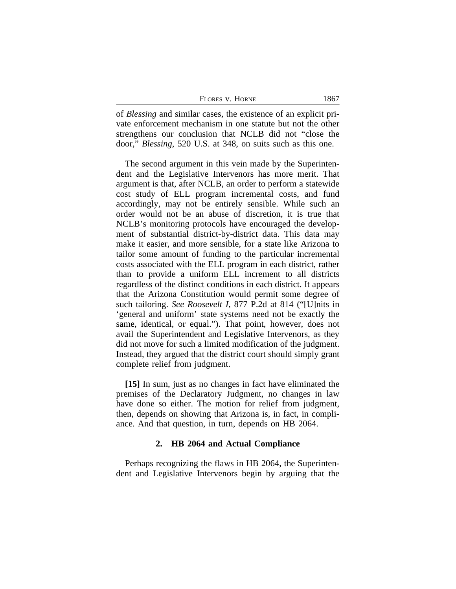| FLORES V. HORNE<br>the contract of the con- |  |
|---------------------------------------------|--|
|                                             |  |

of *Blessing* and similar cases, the existence of an explicit private enforcement mechanism in one statute but not the other strengthens our conclusion that NCLB did not "close the door," *Blessing*, 520 U.S. at 348, on suits such as this one.

The second argument in this vein made by the Superintendent and the Legislative Intervenors has more merit. That argument is that, after NCLB, an order to perform a statewide cost study of ELL program incremental costs, and fund accordingly, may not be entirely sensible. While such an order would not be an abuse of discretion, it is true that NCLB's monitoring protocols have encouraged the development of substantial district-by-district data. This data may make it easier, and more sensible, for a state like Arizona to tailor some amount of funding to the particular incremental costs associated with the ELL program in each district, rather than to provide a uniform ELL increment to all districts regardless of the distinct conditions in each district. It appears that the Arizona Constitution would permit some degree of such tailoring. *See Roosevelt I*, 877 P.2d at 814 ("[U]nits in 'general and uniform' state systems need not be exactly the same, identical, or equal."). That point, however, does not avail the Superintendent and Legislative Intervenors, as they did not move for such a limited modification of the judgment. Instead, they argued that the district court should simply grant complete relief from judgment.

**[15]** In sum, just as no changes in fact have eliminated the premises of the Declaratory Judgment, no changes in law have done so either. The motion for relief from judgment, then, depends on showing that Arizona is, in fact, in compliance. And that question, in turn, depends on HB 2064.

## **2. HB 2064 and Actual Compliance**

Perhaps recognizing the flaws in HB 2064, the Superintendent and Legislative Intervenors begin by arguing that the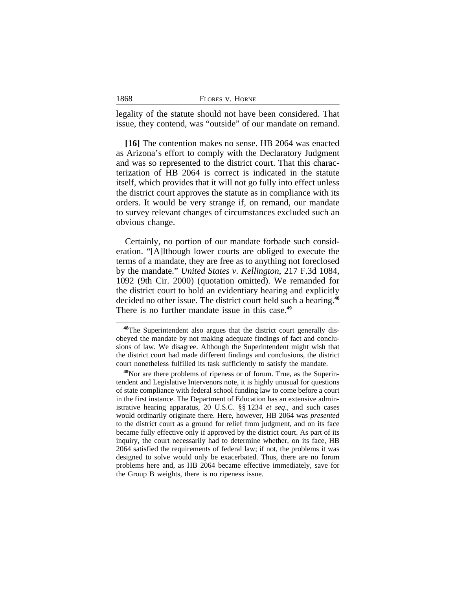| 1868<br>FLORES V. HORNE |  |
|-------------------------|--|
|-------------------------|--|

legality of the statute should not have been considered. That issue, they contend, was "outside" of our mandate on remand.

**[16]** The contention makes no sense. HB 2064 was enacted as Arizona's effort to comply with the Declaratory Judgment and was so represented to the district court. That this characterization of HB 2064 is correct is indicated in the statute itself, which provides that it will not go fully into effect unless the district court approves the statute as in compliance with its orders. It would be very strange if, on remand, our mandate to survey relevant changes of circumstances excluded such an obvious change.

Certainly, no portion of our mandate forbade such consideration. "[A]lthough lower courts are obliged to execute the terms of a mandate, they are free as to anything not foreclosed by the mandate." *United States v. Kellington*, 217 F.3d 1084, 1092 (9th Cir. 2000) (quotation omitted). We remanded for the district court to hold an evidentiary hearing and explicitly decided no other issue. The district court held such a hearing.**<sup>48</sup>** There is no further mandate issue in this case.**<sup>49</sup>**

**<sup>48</sup>**The Superintendent also argues that the district court generally disobeyed the mandate by not making adequate findings of fact and conclusions of law. We disagree. Although the Superintendent might wish that the district court had made different findings and conclusions, the district court nonetheless fulfilled its task sufficiently to satisfy the mandate.

**<sup>49</sup>**Nor are there problems of ripeness or of forum. True, as the Superintendent and Legislative Intervenors note, it is highly unusual for questions of state compliance with federal school funding law to come before a court in the first instance. The Department of Education has an extensive administrative hearing apparatus, 20 U.S.C. §§ 1234 *et seq*., and such cases would ordinarily originate there. Here, however, HB 2064 was *presented* to the district court as a ground for relief from judgment, and on its face became fully effective only if approved by the district court. As part of its inquiry, the court necessarily had to determine whether, on its face, HB 2064 satisfied the requirements of federal law; if not, the problems it was designed to solve would only be exacerbated. Thus, there are no forum problems here and, as HB 2064 became effective immediately, save for the Group B weights, there is no ripeness issue.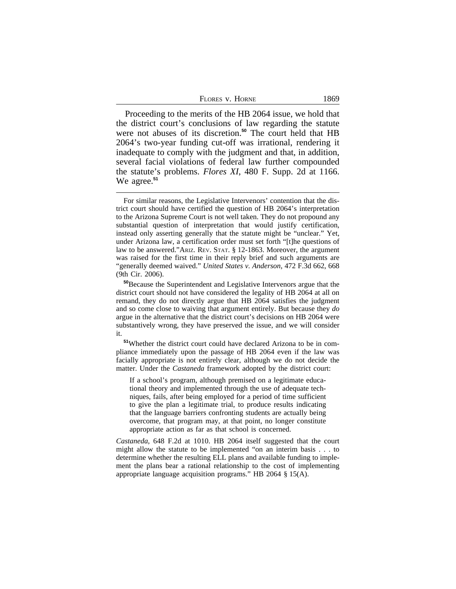| Flores v. Horne | 1869 |
|-----------------|------|
|                 |      |

Proceeding to the merits of the HB 2064 issue, we hold that the district court's conclusions of law regarding the statute were not abuses of its discretion.**<sup>50</sup>** The court held that HB 2064's two-year funding cut-off was irrational, rendering it inadequate to comply with the judgment and that, in addition, several facial violations of federal law further compounded the statute's problems. *Flores XI*, 480 F. Supp. 2d at 1166. We agree.**<sup>51</sup>**

**<sup>51</sup>**Whether the district court could have declared Arizona to be in compliance immediately upon the passage of HB 2064 even if the law was facially appropriate is not entirely clear, although we do not decide the matter. Under the *Castaneda* framework adopted by the district court:

If a school's program, although premised on a legitimate educational theory and implemented through the use of adequate techniques, fails, after being employed for a period of time sufficient to give the plan a legitimate trial, to produce results indicating that the language barriers confronting students are actually being overcome, that program may, at that point, no longer constitute appropriate action as far as that school is concerned.

*Castaneda*, 648 F.2d at 1010. HB 2064 itself suggested that the court might allow the statute to be implemented "on an interim basis . . . to determine whether the resulting ELL plans and available funding to implement the plans bear a rational relationship to the cost of implementing appropriate language acquisition programs." HB 2064 § 15(A).

For similar reasons, the Legislative Intervenors' contention that the district court should have certified the question of HB 2064's interpretation to the Arizona Supreme Court is not well taken. They do not propound any substantial question of interpretation that would justify certification, instead only asserting generally that the statute might be "unclear." Yet, under Arizona law, a certification order must set forth "[t]he questions of law to be answered."ARIZ. REV. STAT. § 12-1863. Moreover, the argument was raised for the first time in their reply brief and such arguments are "generally deemed waived." *United States v. Anderson*, 472 F.3d 662, 668 (9th Cir. 2006).

**<sup>50</sup>**Because the Superintendent and Legislative Intervenors argue that the district court should not have considered the legality of HB 2064 at all on remand, they do not directly argue that HB 2064 satisfies the judgment and so come close to waiving that argument entirely. But because they *do* argue in the alternative that the district court's decisions on HB 2064 were substantively wrong, they have preserved the issue, and we will consider it.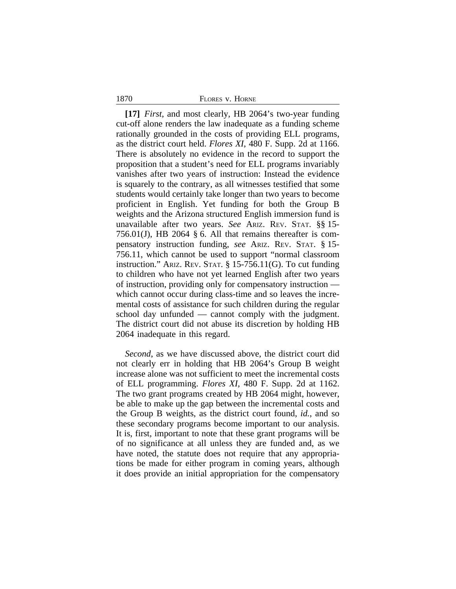#### 1870 FLORES v. HORNE

**[17]** *First*, and most clearly, HB 2064's two-year funding cut-off alone renders the law inadequate as a funding scheme rationally grounded in the costs of providing ELL programs, as the district court held. *Flores XI*, 480 F. Supp. 2d at 1166. There is absolutely no evidence in the record to support the proposition that a student's need for ELL programs invariably vanishes after two years of instruction: Instead the evidence is squarely to the contrary, as all witnesses testified that some students would certainly take longer than two years to become proficient in English. Yet funding for both the Group B weights and the Arizona structured English immersion fund is unavailable after two years. *See* ARIZ. REV. STAT. §§ 15- 756.01(J), HB 2064 § 6. All that remains thereafter is compensatory instruction funding, *see* ARIZ. REV. STAT. § 15- 756.11, which cannot be used to support "normal classroom instruction." ARIZ. REV. STAT. § 15-756.11(G). To cut funding to children who have not yet learned English after two years of instruction, providing only for compensatory instruction which cannot occur during class-time and so leaves the incremental costs of assistance for such children during the regular school day unfunded — cannot comply with the judgment. The district court did not abuse its discretion by holding HB 2064 inadequate in this regard.

*Second*, as we have discussed above, the district court did not clearly err in holding that HB 2064's Group B weight increase alone was not sufficient to meet the incremental costs of ELL programming. *Flores XI*, 480 F. Supp. 2d at 1162. The two grant programs created by HB 2064 might, however, be able to make up the gap between the incremental costs and the Group B weights, as the district court found, *id.*, and so these secondary programs become important to our analysis. It is, first, important to note that these grant programs will be of no significance at all unless they are funded and, as we have noted, the statute does not require that any appropriations be made for either program in coming years, although it does provide an initial appropriation for the compensatory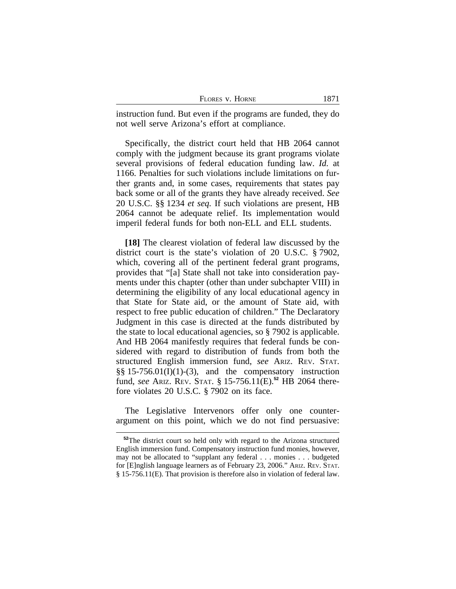| FLORES V. HORNE | 1871 |
|-----------------|------|
|-----------------|------|

instruction fund. But even if the programs are funded, they do not well serve Arizona's effort at compliance.

Specifically, the district court held that HB 2064 cannot comply with the judgment because its grant programs violate several provisions of federal education funding law. *Id.* at 1166. Penalties for such violations include limitations on further grants and, in some cases, requirements that states pay back some or all of the grants they have already received. *See* 20 U.S.C. §§ 1234 *et seq.* If such violations are present, HB 2064 cannot be adequate relief. Its implementation would imperil federal funds for both non-ELL and ELL students.

**[18]** The clearest violation of federal law discussed by the district court is the state's violation of 20 U.S.C. § 7902, which, covering all of the pertinent federal grant programs, provides that "[a] State shall not take into consideration payments under this chapter (other than under subchapter VIII) in determining the eligibility of any local educational agency in that State for State aid, or the amount of State aid, with respect to free public education of children." The Declaratory Judgment in this case is directed at the funds distributed by the state to local educational agencies, so § 7902 is applicable. And HB 2064 manifestly requires that federal funds be considered with regard to distribution of funds from both the structured English immersion fund, *see* ARIZ. REV. STAT.  $\S$ § 15-756.01(I)(1)-(3), and the compensatory instruction fund, *see* ARIZ. REV. STAT. § 15-756.11(E).**<sup>52</sup>** HB 2064 therefore violates 20 U.S.C. § 7902 on its face.

The Legislative Intervenors offer only one counterargument on this point, which we do not find persuasive:

**<sup>52</sup>**The district court so held only with regard to the Arizona structured English immersion fund. Compensatory instruction fund monies, however, may not be allocated to "supplant any federal . . . monies . . . budgeted for [E]nglish language learners as of February 23, 2006." ARIZ. REV. STAT. § 15-756.11(E). That provision is therefore also in violation of federal law.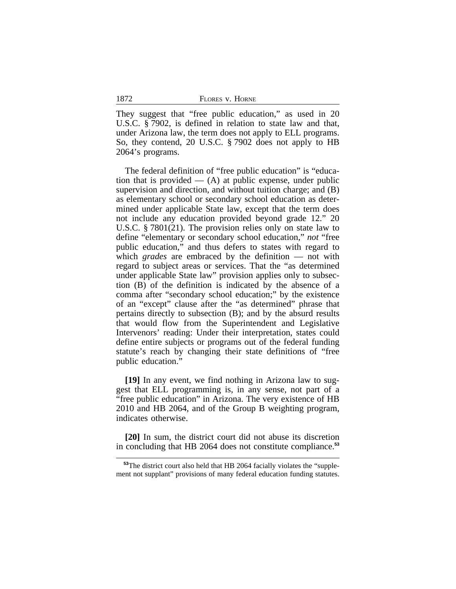| FLORES V. HORNE |  |
|-----------------|--|
|                 |  |

They suggest that "free public education," as used in 20 U.S.C. § 7902, is defined in relation to state law and that, under Arizona law, the term does not apply to ELL programs. So, they contend, 20 U.S.C. § 7902 does not apply to HB 2064's programs.

The federal definition of "free public education" is "education that is provided  $-$  (A) at public expense, under public supervision and direction, and without tuition charge; and (B) as elementary school or secondary school education as determined under applicable State law, except that the term does not include any education provided beyond grade 12." 20 U.S.C. § 7801(21). The provision relies only on state law to define "elementary or secondary school education," *not* "free public education," and thus defers to states with regard to which *grades* are embraced by the definition — not with regard to subject areas or services. That the "as determined under applicable State law" provision applies only to subsection (B) of the definition is indicated by the absence of a comma after "secondary school education;" by the existence of an "except" clause after the "as determined" phrase that pertains directly to subsection (B); and by the absurd results that would flow from the Superintendent and Legislative Intervenors' reading: Under their interpretation, states could define entire subjects or programs out of the federal funding statute's reach by changing their state definitions of "free public education."

**[19]** In any event, we find nothing in Arizona law to suggest that ELL programming is, in any sense, not part of a "free public education" in Arizona. The very existence of HB 2010 and HB 2064, and of the Group B weighting program, indicates otherwise.

**[20]** In sum, the district court did not abuse its discretion in concluding that HB 2064 does not constitute compliance.**<sup>53</sup>**

1872

**<sup>53</sup>**The district court also held that HB 2064 facially violates the "supplement not supplant" provisions of many federal education funding statutes.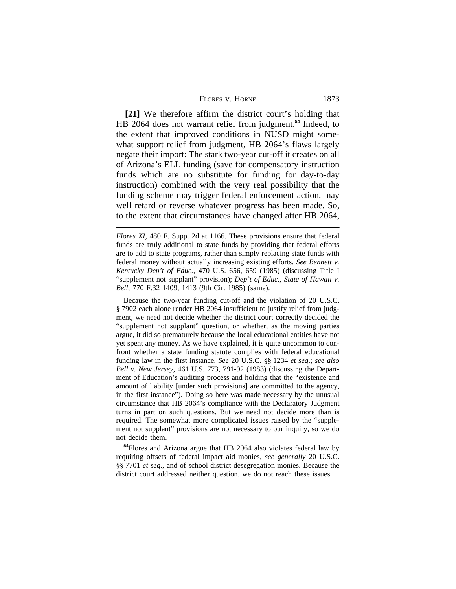**[21]** We therefore affirm the district court's holding that HB 2064 does not warrant relief from judgment.**<sup>54</sup>** Indeed, to the extent that improved conditions in NUSD might somewhat support relief from judgment, HB 2064's flaws largely negate their import: The stark two-year cut-off it creates on all of Arizona's ELL funding (save for compensatory instruction funds which are no substitute for funding for day-to-day instruction) combined with the very real possibility that the funding scheme may trigger federal enforcement action, may well retard or reverse whatever progress has been made. So, to the extent that circumstances have changed after HB 2064,

Because the two-year funding cut-off and the violation of 20 U.S.C. § 7902 each alone render HB 2064 insufficient to justify relief from judgment, we need not decide whether the district court correctly decided the "supplement not supplant" question, or whether, as the moving parties argue, it did so prematurely because the local educational entities have not yet spent any money. As we have explained, it is quite uncommon to confront whether a state funding statute complies with federal educational funding law in the first instance. *See* 20 U.S.C. §§ 1234 *et seq*.; *see also Bell v. New Jersey*, 461 U.S. 773, 791-92 (1983) (discussing the Department of Education's auditing process and holding that the "existence and amount of liability [under such provisions] are committed to the agency, in the first instance"). Doing so here was made necessary by the unusual circumstance that HB 2064's compliance with the Declaratory Judgment turns in part on such questions. But we need not decide more than is required. The somewhat more complicated issues raised by the "supplement not supplant" provisions are not necessary to our inquiry, so we do not decide them.

**<sup>54</sup>**Flores and Arizona argue that HB 2064 also violates federal law by requiring offsets of federal impact aid monies, *see generally* 20 U.S.C. §§ 7701 *et seq.*, and of school district desegregation monies. Because the district court addressed neither question, we do not reach these issues.

*Flores XI*, 480 F. Supp. 2d at 1166. These provisions ensure that federal funds are truly additional to state funds by providing that federal efforts are to add to state programs, rather than simply replacing state funds with federal money without actually increasing existing efforts. *See Bennett v. Kentucky Dep't of Educ.*, 470 U.S. 656, 659 (1985) (discussing Title I "supplement not supplant" provision); *Dep't of Educ., State of Hawaii v. Bell*, 770 F.32 1409, 1413 (9th Cir. 1985) (same).